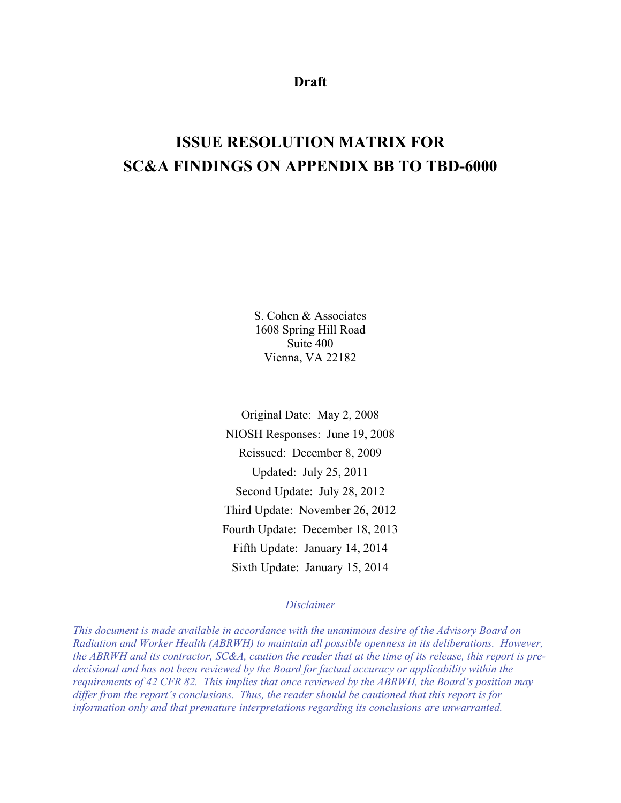**Draft** 

# **ISSUE RESOLUTION MATRIX FOR SC&A FINDINGS ON APPENDIX BB TO TBD-6000**

S. Cohen & Associates 1608 Spring Hill Road Suite 400 Vienna, VA 22182

Original Date: May 2, 2008 NIOSH Responses: June 19, 2008 Reissued: December 8, 2009 Updated: July 25, 2011 Second Update: July 28, 2012 Third Update: November 26, 2012 Fourth Update: December 18, 2013 Fifth Update: January 14, 2014 Sixth Update: January 15, 2014

### *Disclaimer*

*This document is made available in accordance with the unanimous desire of the Advisory Board on Radiation and Worker Health (ABRWH) to maintain all possible openness in its deliberations. However, the ABRWH and its contractor, SC&A, caution the reader that at the time of its release, this report is predecisional and has not been reviewed by the Board for factual accuracy or applicability within the requirements of 42 CFR 82. This implies that once reviewed by the ABRWH, the Board's position may differ from the report's conclusions. Thus, the reader should be cautioned that this report is for information only and that premature interpretations regarding its conclusions are unwarranted.*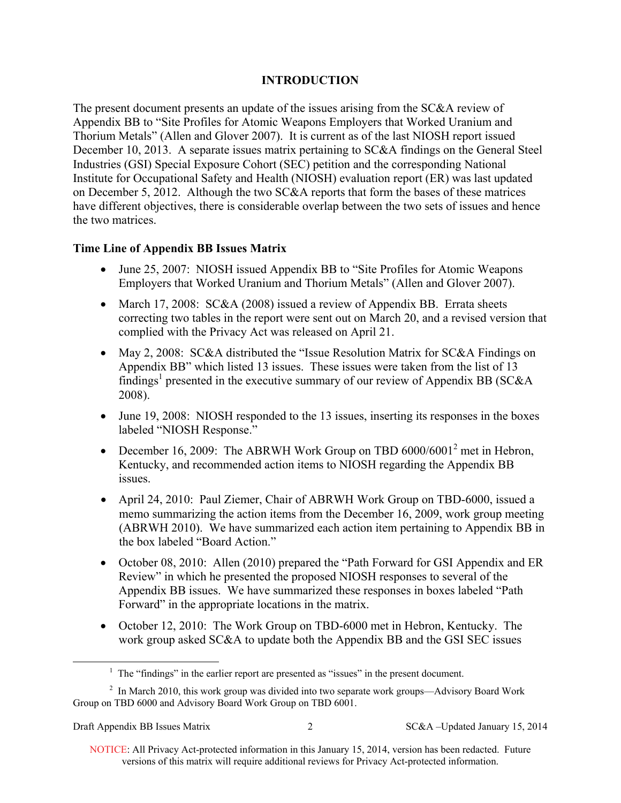# **INTRODUCTION**

The present document presents an update of the issues arising from the SC&A review of Appendix BB to "Site Profiles for Atomic Weapons Employers that Worked Uranium and Thorium Metals" (Allen and Glover 2007). It is current as of the last NIOSH report issued December 10, 2013. A separate issues matrix pertaining to SC&A findings on the General Steel Industries (GSI) Special Exposure Cohort (SEC) petition and the corresponding National Institute for Occupational Safety and Health (NIOSH) evaluation report (ER) was last updated on December 5, 2012. Although the two SC&A reports that form the bases of these matrices have different objectives, there is considerable overlap between the two sets of issues and hence the two matrices.

# **Time Line of Appendix BB Issues Matrix**

- June 25, 2007: NIOSH issued Appendix BB to "Site Profiles for Atomic Weapons" Employers that Worked Uranium and Thorium Metals" (Allen and Glover 2007).
- March 17, 2008:  $SC&A(2008)$  issued a review of Appendix BB. Errata sheets correcting two tables in the report were sent out on March 20, and a revised version that complied with the Privacy Act was released on April 21.
- May 2, 2008: SC&A distributed the "Issue Resolution Matrix for SC&A Findings on Appendix BB" which listed 13 issues. These issues were taken from the list of 13 findings<sup>1</sup> presented in the executive summary of our review of Appendix BB (SC&A 2008).
- June 19, 2008: NIOSH responded to the 13 issues, inserting its responses in the boxes labeled "NIOSH Response."
- December 16, 2009: The ABRWH Work Group on TBD  $6000/6001^2$  met in Hebron, Kentucky, and recommended action items to NIOSH regarding the Appendix BB issues.
- April 24, 2010: Paul Ziemer, Chair of ABRWH Work Group on TBD-6000, issued a memo summarizing the action items from the December 16, 2009, work group meeting (ABRWH 2010). We have summarized each action item pertaining to Appendix BB in the box labeled "Board Action."
- October 08, 2010: Allen (2010) prepared the "Path Forward for GSI Appendix and ER Review" in which he presented the proposed NIOSH responses to several of the Appendix BB issues. We have summarized these responses in boxes labeled "Path Forward" in the appropriate locations in the matrix.
- October 12, 2010: The Work Group on TBD-6000 met in Hebron, Kentucky. The work group asked SC&A to update both the Appendix BB and the GSI SEC issues

 $\overline{a}$ 

 $<sup>1</sup>$  The "findings" in the earlier report are presented as "issues" in the present document.</sup>

 $2$  In March 2010, this work group was divided into two separate work groups—Advisory Board Work Group on TBD 6000 and Advisory Board Work Group on TBD 6001.

 NOTICE: All Privacy Act-protected information in this January 15, 2014, version has been redacted. Future versions of this matrix will require additional reviews for Privacy Act-protected information.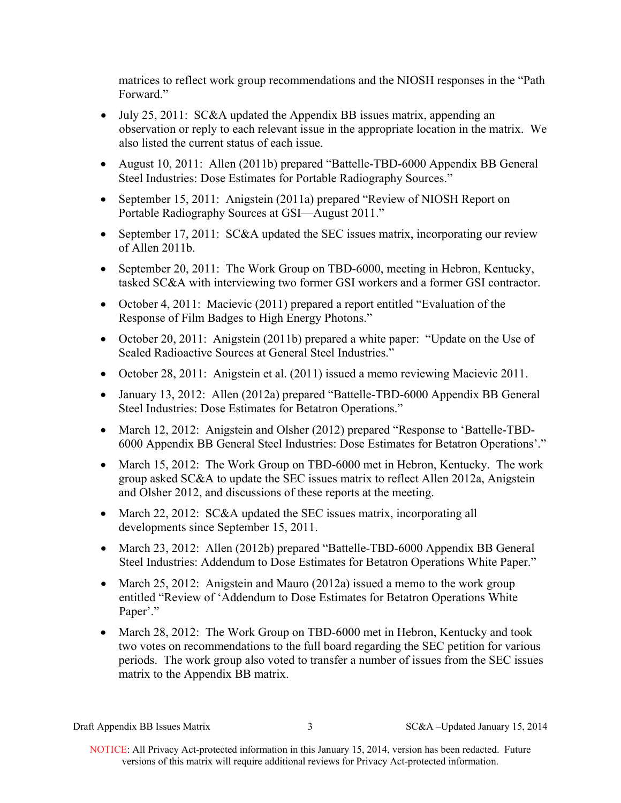matrices to reflect work group recommendations and the NIOSH responses in the "Path Forward"

- July 25, 2011: SC&A updated the Appendix BB issues matrix, appending an observation or reply to each relevant issue in the appropriate location in the matrix. We also listed the current status of each issue.
- August 10, 2011: Allen (2011b) prepared "Battelle-TBD-6000 Appendix BB General Steel Industries: Dose Estimates for Portable Radiography Sources."
- September 15, 2011: Anigstein (2011a) prepared "Review of NIOSH Report on Portable Radiography Sources at GSI—August 2011."
- September 17, 2011: SC&A updated the SEC issues matrix, incorporating our review of Allen 2011b.
- September 20, 2011: The Work Group on TBD-6000, meeting in Hebron, Kentucky, tasked SC&A with interviewing two former GSI workers and a former GSI contractor.
- October 4, 2011: Macievic (2011) prepared a report entitled "Evaluation of the Response of Film Badges to High Energy Photons."
- October 20, 2011: Anigstein (2011b) prepared a white paper: "Update on the Use of Sealed Radioactive Sources at General Steel Industries."
- October 28, 2011: Anigstein et al. (2011) issued a memo reviewing Macievic 2011.
- January 13, 2012: Allen (2012a) prepared "Battelle-TBD-6000 Appendix BB General Steel Industries: Dose Estimates for Betatron Operations."
- March 12, 2012: Anigstein and Olsher (2012) prepared "Response to 'Battelle-TBD-6000 Appendix BB General Steel Industries: Dose Estimates for Betatron Operations'."
- March 15, 2012: The Work Group on TBD-6000 met in Hebron, Kentucky. The work group asked SC&A to update the SEC issues matrix to reflect Allen 2012a, Anigstein and Olsher 2012, and discussions of these reports at the meeting.
- March 22, 2012: SC&A updated the SEC issues matrix, incorporating all developments since September 15, 2011.
- March 23, 2012: Allen (2012b) prepared "Battelle-TBD-6000 Appendix BB General Steel Industries: Addendum to Dose Estimates for Betatron Operations White Paper."
- March 25, 2012: Anigstein and Mauro (2012a) issued a memo to the work group entitled "Review of 'Addendum to Dose Estimates for Betatron Operations White Paper'."
- March 28, 2012: The Work Group on TBD-6000 met in Hebron, Kentucky and took two votes on recommendations to the full board regarding the SEC petition for various periods. The work group also voted to transfer a number of issues from the SEC issues matrix to the Appendix BB matrix.

Draft Appendix BB Issues Matrix 3 SC&A –Updated January 15, 2014

 NOTICE: All Privacy Act-protected information in this January 15, 2014, version has been redacted. Future versions of this matrix will require additional reviews for Privacy Act-protected information.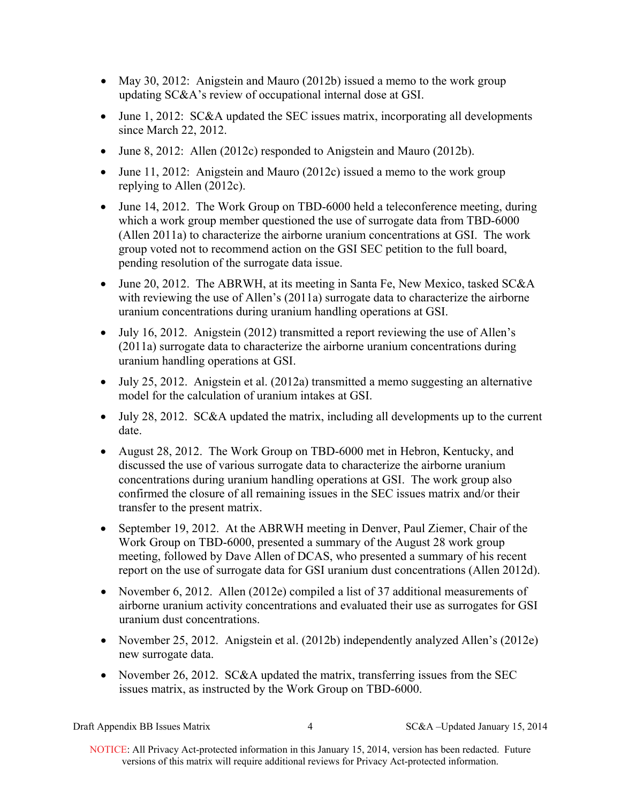- May 30, 2012: Anigstein and Mauro (2012b) issued a memo to the work group updating SC&A's review of occupational internal dose at GSI.
- June 1, 2012: SC&A updated the SEC issues matrix, incorporating all developments since March 22, 2012.
- June 8, 2012: Allen (2012c) responded to Anigstein and Mauro (2012b).
- June 11, 2012: Anigstein and Mauro (2012c) issued a memo to the work group replying to Allen (2012c).
- June 14, 2012. The Work Group on TBD-6000 held a teleconference meeting, during which a work group member questioned the use of surrogate data from TBD-6000 (Allen 2011a) to characterize the airborne uranium concentrations at GSI. The work group voted not to recommend action on the GSI SEC petition to the full board, pending resolution of the surrogate data issue.
- June 20, 2012. The ABRWH, at its meeting in Santa Fe, New Mexico, tasked SC&A with reviewing the use of Allen's (2011a) surrogate data to characterize the airborne uranium concentrations during uranium handling operations at GSI.
- July 16, 2012. Anigstein (2012) transmitted a report reviewing the use of Allen's (2011a) surrogate data to characterize the airborne uranium concentrations during uranium handling operations at GSI.
- July 25, 2012. Anigstein et al. (2012a) transmitted a memo suggesting an alternative model for the calculation of uranium intakes at GSI.
- July 28, 2012. SC&A updated the matrix, including all developments up to the current date.
- August 28, 2012. The Work Group on TBD-6000 met in Hebron, Kentucky, and discussed the use of various surrogate data to characterize the airborne uranium concentrations during uranium handling operations at GSI. The work group also confirmed the closure of all remaining issues in the SEC issues matrix and/or their transfer to the present matrix.
- September 19, 2012. At the ABRWH meeting in Denver, Paul Ziemer, Chair of the Work Group on TBD-6000, presented a summary of the August 28 work group meeting, followed by Dave Allen of DCAS, who presented a summary of his recent report on the use of surrogate data for GSI uranium dust concentrations (Allen 2012d).
- November 6, 2012. Allen (2012e) compiled a list of 37 additional measurements of airborne uranium activity concentrations and evaluated their use as surrogates for GSI uranium dust concentrations.
- November 25, 2012. Anigstein et al. (2012b) independently analyzed Allen's (2012e) new surrogate data.
- November 26, 2012.  $SC&A$  updated the matrix, transferring issues from the SEC issues matrix, as instructed by the Work Group on TBD-6000.

Draft Appendix BB Issues Matrix 4 SC&A –Updated January 15, 2014

 NOTICE: All Privacy Act-protected information in this January 15, 2014, version has been redacted. Future versions of this matrix will require additional reviews for Privacy Act-protected information.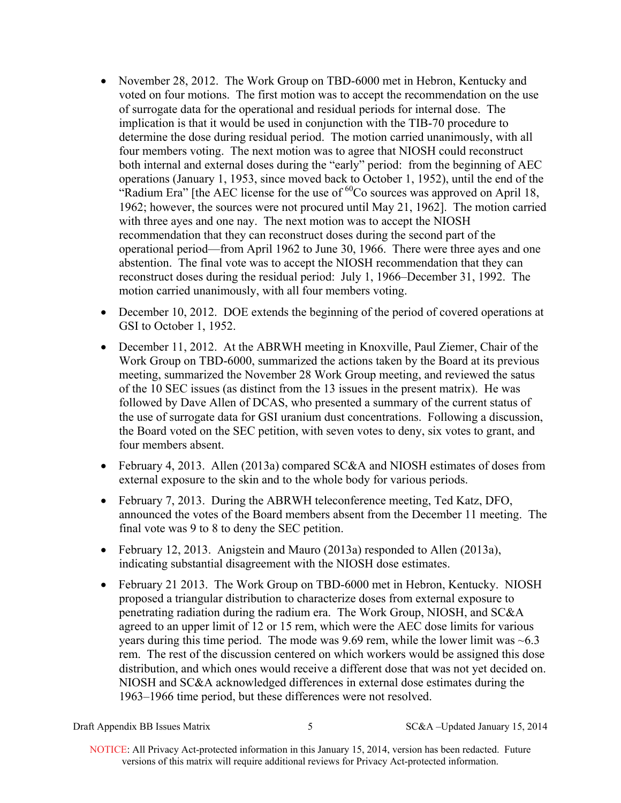- November 28, 2012. The Work Group on TBD-6000 met in Hebron, Kentucky and voted on four motions. The first motion was to accept the recommendation on the use of surrogate data for the operational and residual periods for internal dose. The implication is that it would be used in conjunction with the TIB-70 procedure to determine the dose during residual period. The motion carried unanimously, with all four members voting. The next motion was to agree that NIOSH could reconstruct both internal and external doses during the "early" period: from the beginning of AEC operations (January 1, 1953, since moved back to October 1, 1952), until the end of the "Radium Era" [the AEC license for the use of <sup>60</sup>Co sources was approved on April 18, 1962; however, the sources were not procured until May 21, 1962]. The motion carried with three ayes and one nay. The next motion was to accept the NIOSH recommendation that they can reconstruct doses during the second part of the operational period—from April 1962 to June 30, 1966. There were three ayes and one abstention. The final vote was to accept the NIOSH recommendation that they can reconstruct doses during the residual period: July 1, 1966–December 31, 1992. The motion carried unanimously, with all four members voting.
- December 10, 2012. DOE extends the beginning of the period of covered operations at GSI to October 1, 1952.
- December 11, 2012. At the ABRWH meeting in Knoxville, Paul Ziemer, Chair of the Work Group on TBD-6000, summarized the actions taken by the Board at its previous meeting, summarized the November 28 Work Group meeting, and reviewed the satus of the 10 SEC issues (as distinct from the 13 issues in the present matrix). He was followed by Dave Allen of DCAS, who presented a summary of the current status of the use of surrogate data for GSI uranium dust concentrations. Following a discussion, the Board voted on the SEC petition, with seven votes to deny, six votes to grant, and four members absent.
- February 4, 2013. Allen (2013a) compared SC&A and NIOSH estimates of doses from external exposure to the skin and to the whole body for various periods.
- February 7, 2013. During the ABRWH teleconference meeting, Ted Katz, DFO, announced the votes of the Board members absent from the December 11 meeting. The final vote was 9 to 8 to deny the SEC petition.
- February 12, 2013. Anigstein and Mauro (2013a) responded to Allen (2013a), indicating substantial disagreement with the NIOSH dose estimates.
- February 21 2013. The Work Group on TBD-6000 met in Hebron, Kentucky. NIOSH proposed a triangular distribution to characterize doses from external exposure to penetrating radiation during the radium era. The Work Group, NIOSH, and SC&A agreed to an upper limit of 12 or 15 rem, which were the AEC dose limits for various years during this time period. The mode was 9.69 rem, while the lower limit was ~6.3 rem. The rest of the discussion centered on which workers would be assigned this dose distribution, and which ones would receive a different dose that was not yet decided on. NIOSH and SC&A acknowledged differences in external dose estimates during the 1963–1966 time period, but these differences were not resolved.

Draft Appendix BB Issues Matrix 5 SC&A –Updated January 15, 2014

 NOTICE: All Privacy Act-protected information in this January 15, 2014, version has been redacted. Future versions of this matrix will require additional reviews for Privacy Act-protected information.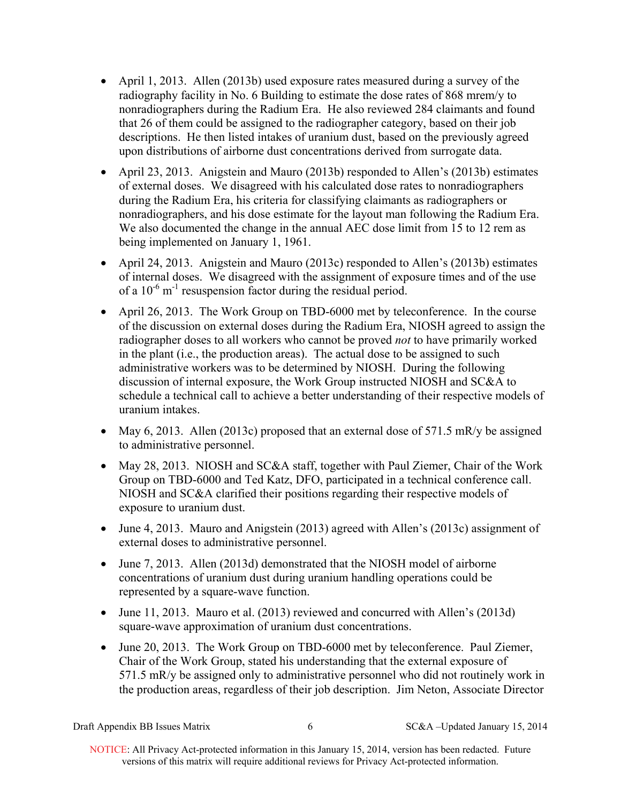- April 1, 2013. Allen (2013b) used exposure rates measured during a survey of the radiography facility in No. 6 Building to estimate the dose rates of 868 mrem/y to nonradiographers during the Radium Era. He also reviewed 284 claimants and found that 26 of them could be assigned to the radiographer category, based on their job descriptions. He then listed intakes of uranium dust, based on the previously agreed upon distributions of airborne dust concentrations derived from surrogate data.
- nonradiographers, and his dose estimate for the layout man following the Radium Era. April 23, 2013. Anigstein and Mauro (2013b) responded to Allen's (2013b) estimates of external doses. We disagreed with his calculated dose rates to nonradiographers during the Radium Era, his criteria for classifying claimants as radiographers or We also documented the change in the annual AEC dose limit from 15 to 12 rem as being implemented on January 1, 1961.
- April 24, 2013. Anigstein and Mauro (2013c) responded to Allen's (2013b) estimates of internal doses. We disagreed with the assignment of exposure times and of the use of a  $10^{-6}$  m<sup>-1</sup> resuspension factor during the residual period.
- April 26, 2013. The Work Group on TBD-6000 met by teleconference. In the course of the discussion on external doses during the Radium Era, NIOSH agreed to assign the radiographer doses to all workers who cannot be proved *not* to have primarily worked in the plant (i.e., the production areas). The actual dose to be assigned to such administrative workers was to be determined by NIOSH. During the following discussion of internal exposure, the Work Group instructed NIOSH and SC&A to schedule a technical call to achieve a better understanding of their respective models of uranium intakes.
- May 6, 2013. Allen (2013c) proposed that an external dose of  $571.5$  mR/y be assigned to administrative personnel.
- May 28, 2013. NIOSH and SC&A staff, together with Paul Ziemer, Chair of the Work Group on TBD-6000 and Ted Katz, DFO, participated in a technical conference call. NIOSH and SC&A clarified their positions regarding their respective models of exposure to uranium dust.
- June 4, 2013. Mauro and Anigstein (2013) agreed with Allen's (2013c) assignment of external doses to administrative personnel.
- June 7, 2013. Allen (2013d) demonstrated that the NIOSH model of airborne concentrations of uranium dust during uranium handling operations could be represented by a square-wave function.
- June 11, 2013. Mauro et al. (2013) reviewed and concurred with Allen's (2013d) square-wave approximation of uranium dust concentrations.
- June 20, 2013. The Work Group on TBD-6000 met by teleconference. Paul Ziemer, Chair of the Work Group, stated his understanding that the external exposure of 571.5 mR/y be assigned only to administrative personnel who did not routinely work in the production areas, regardless of their job description. Jim Neton, Associate Director

Draft Appendix BB Issues Matrix 6 SC&A –Updated January 15, 2014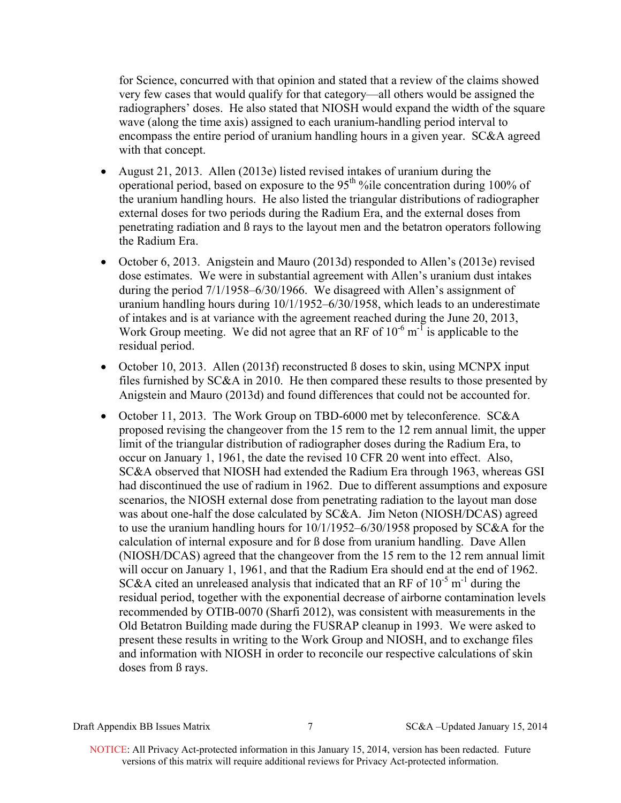for Science, concurred with that opinion and stated that a review of the claims showed very few cases that would qualify for that category—all others would be assigned the radiographers' doses. He also stated that NIOSH would expand the width of the square wave (along the time axis) assigned to each uranium-handling period interval to encompass the entire period of uranium handling hours in a given year. SC&A agreed with that concept.

- August 21, 2013. Allen (2013e) listed revised intakes of uranium during the operational period, based on exposure to the 95<sup>th %</sup>ile concentration during 100% of the uranium handling hours. He also listed the triangular distributions of radiographer external doses for two periods during the Radium Era, and the external doses from penetrating radiation and ß rays to the layout men and the betatron operators following the Radium Era.
- October 6, 2013. Anigstein and Mauro (2013d) responded to Allen's (2013e) revised dose estimates. We were in substantial agreement with Allen's uranium dust intakes during the period 7/1/1958–6/30/1966. We disagreed with Allen's assignment of uranium handling hours during 10/1/1952–6/30/1958, which leads to an underestimate of intakes and is at variance with the agreement reached during the June 20, 2013, Work Group meeting. We did not agree that an RF of  $10^{-6}$  m<sup>-1</sup> is applicable to the residual period.
- October 10, 2013. Allen (2013f) reconstructed  $\beta$  doses to skin, using MCNPX input files furnished by SC&A in 2010. He then compared these results to those presented by Anigstein and Mauro (2013d) and found differences that could not be accounted for.
- October 11, 2013. The Work Group on TBD-6000 met by teleconference. SC&A proposed revising the changeover from the 15 rem to the 12 rem annual limit, the upper limit of the triangular distribution of radiographer doses during the Radium Era, to occur on January 1, 1961, the date the revised 10 CFR 20 went into effect. Also, SC&A observed that NIOSH had extended the Radium Era through 1963, whereas GSI had discontinued the use of radium in 1962. Due to different assumptions and exposure scenarios, the NIOSH external dose from penetrating radiation to the layout man dose was about one-half the dose calculated by SC&A. Jim Neton (NIOSH/DCAS) agreed to use the uranium handling hours for 10/1/1952–6/30/1958 proposed by SC&A for the calculation of internal exposure and for ß dose from uranium handling. Dave Allen (NIOSH/DCAS) agreed that the changeover from the 15 rem to the 12 rem annual limit will occur on January 1, 1961, and that the Radium Era should end at the end of 1962. SC&A cited an unreleased analysis that indicated that an RF of  $10^{-5}$  m<sup>-1</sup> during the residual period, together with the exponential decrease of airborne contamination levels recommended by OTIB-0070 (Sharfi 2012), was consistent with measurements in the Old Betatron Building made during the FUSRAP cleanup in 1993. We were asked to present these results in writing to the Work Group and NIOSH, and to exchange files and information with NIOSH in order to reconcile our respective calculations of skin doses from ß rays.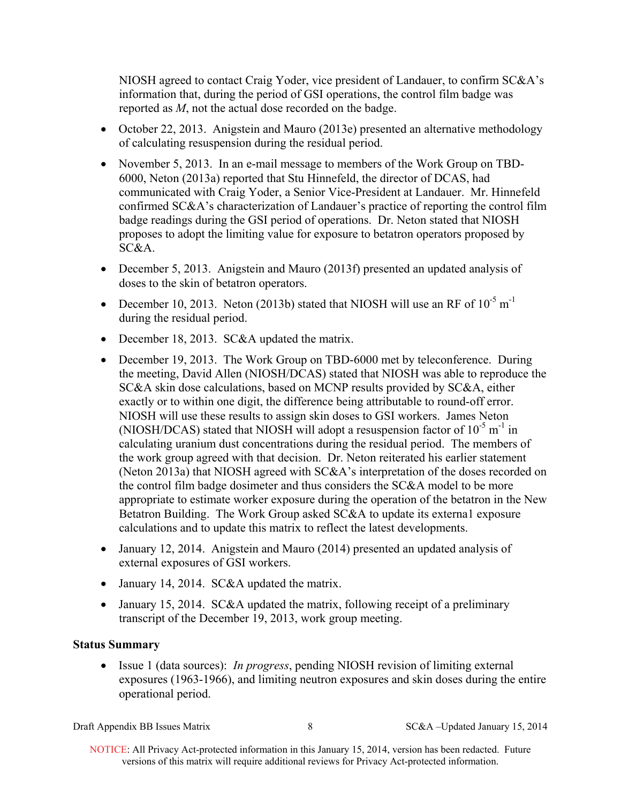NIOSH agreed to contact Craig Yoder, vice president of Landauer, to confirm SC&A's information that, during the period of GSI operations, the control film badge was reported as *M*, not the actual dose recorded on the badge.

- October 22, 2013. Anigstein and Mauro (2013e) presented an alternative methodology of calculating resuspension during the residual period.
- November 5, 2013. In an e-mail message to members of the Work Group on TBD-6000, Neton (2013a) reported that Stu Hinnefeld, the director of DCAS, had communicated with Craig Yoder, a Senior Vice-President at Landauer. Mr. Hinnefeld confirmed SC&A's characterization of Landauer's practice of reporting the control film badge readings during the GSI period of operations. Dr. Neton stated that NIOSH proposes to adopt the limiting value for exposure to betatron operators proposed by SC&A.
- December 5, 2013. Anigstein and Mauro (2013f) presented an updated analysis of doses to the skin of betatron operators.
- December 10, 2013. Neton (2013b) stated that NIOSH will use an RF of  $10^{-5}$  m<sup>-1</sup> during the residual period.
- December 18, 2013. SC&A updated the matrix.
- December 19, 2013. The Work Group on TBD-6000 met by teleconference. During the meeting, David Allen (NIOSH/DCAS) stated that NIOSH was able to reproduce the SC&A skin dose calculations, based on MCNP results provided by SC&A, either exactly or to within one digit, the difference being attributable to round-off error. NIOSH will use these results to assign skin doses to GSI workers. James Neton (NIOSH/DCAS) stated that NIOSH will adopt a resuspension factor of  $10^{-5}$  m<sup>-1</sup> in calculating uranium dust concentrations during the residual period. The members of the work group agreed with that decision. Dr. Neton reiterated his earlier statement (Neton 2013a) that NIOSH agreed with SC&A's interpretation of the doses recorded on the control film badge dosimeter and thus considers the SC&A model to be more appropriate to estimate worker exposure during the operation of the betatron in the New Betatron Building. The Work Group asked SC&A to update its external exposure calculations and to update this matrix to reflect the latest developments.
- January 12, 2014. Anigstein and Mauro (2014) presented an updated analysis of external exposures of GSI workers.
- January 14, 2014. SC&A updated the matrix.
- January 15, 2014. SC&A updated the matrix, following receipt of a preliminary transcript of the December 19, 2013, work group meeting.

# **Status Summary**

 Issue 1 (data sources): *In progress*, pending NIOSH revision of limiting external exposures (1963-1966), and limiting neutron exposures and skin doses during the entire operational period.

Draft Appendix BB Issues Matrix 8 SC&A –Updated January 15, 2014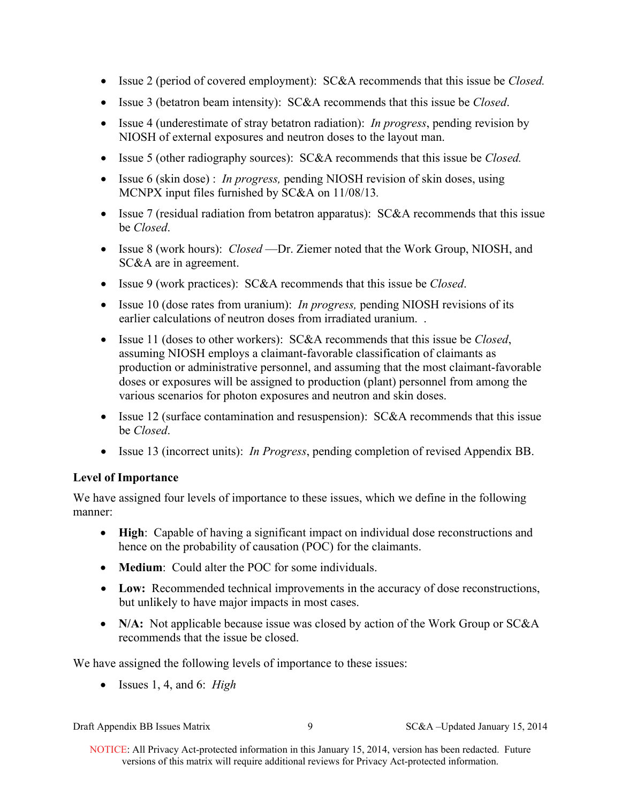- Issue 2 (period of covered employment): SC&A recommends that this issue be *Closed.*
- Issue 3 (betatron beam intensity): SC&A recommends that this issue be *Closed*.
- Issue 4 (underestimate of stray betatron radiation): *In progress*, pending revision by NIOSH of external exposures and neutron doses to the layout man.
- Issue 5 (other radiography sources): SC&A recommends that this issue be *Closed.*
- Issue 6 (skin dose) : *In progress*, pending NIOSH revision of skin doses, using MCNPX input files furnished by SC&A on 11/08/13*.*
- Issue 7 (residual radiation from betatron apparatus): SC&A recommends that this issue be *Closed*.
- Issue 8 (work hours): *Closed* —Dr. Ziemer noted that the Work Group, NIOSH, and SC&A are in agreement.
- Issue 9 (work practices): SC&A recommends that this issue be *Closed*.
- earlier calculations of neutron doses from irradiated uranium... • Issue 10 (dose rates from uranium): *In progress*, pending NIOSH revisions of its
- Issue 11 (doses to other workers): SC&A recommends that this issue be *Closed*, assuming NIOSH employs a claimant-favorable classification of claimants as production or administrative personnel, and assuming that the most claimant-favorable doses or exposures will be assigned to production (plant) personnel from among the various scenarios for photon exposures and neutron and skin doses.
- Issue 12 (surface contamination and resuspension): SC&A recommends that this issue be *Closed*.
- Issue 13 (incorrect units): *In Progress*, pending completion of revised Appendix BB.

# **Level of Importance**

We have assigned four levels of importance to these issues, which we define in the following manner:

- **High**: Capable of having a significant impact on individual dose reconstructions and hence on the probability of causation (POC) for the claimants.
- **Medium**: Could alter the POC for some individuals.
- **Low:** Recommended technical improvements in the accuracy of dose reconstructions, but unlikely to have major impacts in most cases.
- N/A: Not applicable because issue was closed by action of the Work Group or SC&A recommends that the issue be closed.

We have assigned the following levels of importance to these issues:

Issues 1, 4, and 6: *High* 

 NOTICE: All Privacy Act-protected information in this January 15, 2014, version has been redacted. Future versions of this matrix will require additional reviews for Privacy Act-protected information.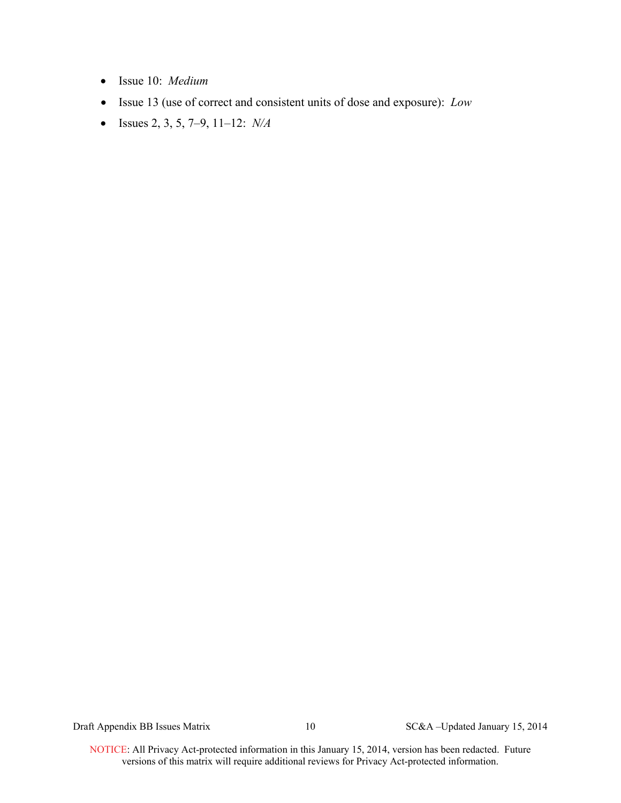- Issue 10: *Medium*
- Issue 13 (use of correct and consistent units of dose and exposure): *Low*
- Issues 2, 3, 5, 7–9, 11–12: *N/A*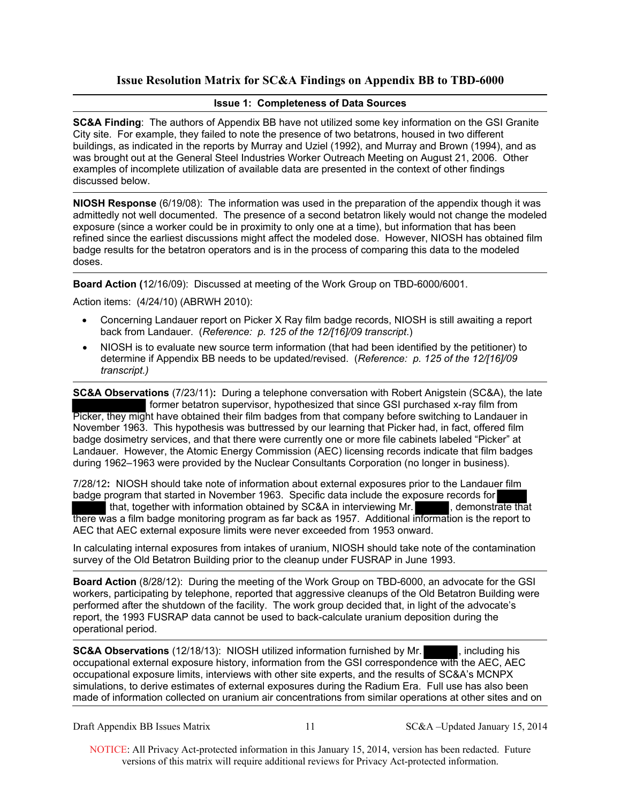# **Issue Resolution Matrix for SC&A Findings on Appendix BB to TBD-6000**

### **Issue 1: Completeness of Data Sources**

**SC&A Finding**: The authors of Appendix BB have not utilized some key information on the GSI Granite City site. For example, they failed to note the presence of two betatrons, housed in two different buildings, as indicated in the reports by Murray and Uziel (1992), and Murray and Brown (1994), and as was brought out at the General Steel Industries Worker Outreach Meeting on August 21, 2006. Other examples of incomplete utilization of available data are presented in the context of other findings discussed below.

**NIOSH Response** (6/19/08): The information was used in the preparation of the appendix though it was admittedly not well documented. The presence of a second betatron likely would not change the modeled exposure (since a worker could be in proximity to only one at a time), but information that has been refined since the earliest discussions might affect the modeled dose. However, NIOSH has obtained film badge results for the betatron operators and is in the process of comparing this data to the modeled doses.

**Board Action (**12/16/09): Discussed at meeting of the Work Group on TBD-6000/6001.

Action items: (4/24/10) (ABRWH 2010):

- Concerning Landauer report on Picker X Ray film badge records, NIOSH is still awaiting a report back from Landauer. (*Reference: p. 125 of the 12/[16]/09 transcript*.)
- NIOSH is to evaluate new source term information (that had been identified by the petitioner) to determine if Appendix BB needs to be updated/revised. (*Reference: p. 125 of the 12/[16]/09 transcript.)*

**SC&A Observations** (7/23/11)**:** During a telephone conversation with Robert Anigstein (SC&A), the late former betatron supervisor, hypothesized that since GSI purchased x-ray film from Picker, they might have obtained their film badges from that company before switching to Landauer in November 1963. This hypothesis was buttressed by our learning that Picker had, in fact, offered film badge dosimetry services, and that there were currently one or more file cabinets labeled "Picker" at Landauer. However, the Atomic Energy Commission (AEC) licensing records indicate that film badges during 1962–1963 were provided by the Nuclear Consultants Corporation (no longer in business).

7/28/12**:** NIOSH should take note of information about external exposures prior to the Landauer film badge program that started in November 1963. Specific data include the exposure records for that, together with information obtained by SC&A in interviewing Mr. , demonstrate that there was a film badge monitoring program as far back as 1957. Additional information is the report to AEC that AEC external exposure limits were never exceeded from 1953 onward.

In calculating internal exposures from intakes of uranium, NIOSH should take note of the contamination survey of the Old Betatron Building prior to the cleanup under FUSRAP in June 1993.

**Board Action** (8/28/12): During the meeting of the Work Group on TBD-6000, an advocate for the GSI workers, participating by telephone, reported that aggressive cleanups of the Old Betatron Building were performed after the shutdown of the facility. The work group decided that, in light of the advocate's report, the 1993 FUSRAP data cannot be used to back-calculate uranium deposition during the operational period.

**SC&A Observations** (12/18/13): NIOSH utilized information furnished by Mr. , including his occupational external exposure history, information from the GSI correspondence with the AEC, AEC occupational exposure limits, interviews with other site experts, and the results of SC&A's MCNPX simulations, to derive estimates of external exposures during the Radium Era. Full use has also been made of information collected on uranium air concentrations from similar operations at other sites and on

Draft Appendix BB Issues Matrix 11 SC&A –Updated January 15, 2014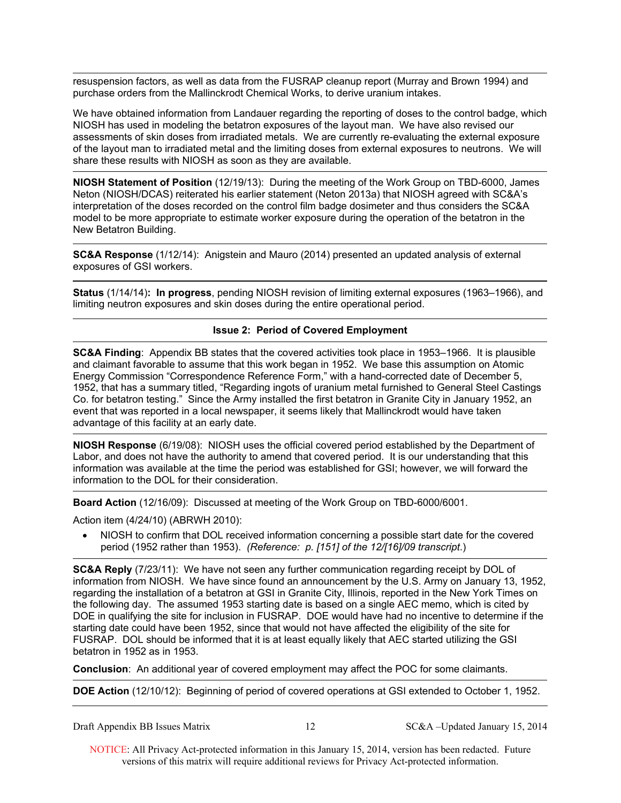resuspension factors, as well as data from the FUSRAP cleanup report (Murray and Brown 1994) and purchase orders from the Mallinckrodt Chemical Works, to derive uranium intakes.

We have obtained information from Landauer regarding the reporting of doses to the control badge, which NIOSH has used in modeling the betatron exposures of the layout man. We have also revised our assessments of skin doses from irradiated metals. We are currently re-evaluating the external exposure of the layout man to irradiated metal and the limiting doses from external exposures to neutrons. We will share these results with NIOSH as soon as they are available.

**NIOSH Statement of Position** (12/19/13): During the meeting of the Work Group on TBD-6000, James Neton (NIOSH/DCAS) reiterated his earlier statement (Neton 2013a) that NIOSH agreed with SC&A's interpretation of the doses recorded on the control film badge dosimeter and thus considers the SC&A model to be more appropriate to estimate worker exposure during the operation of the betatron in the New Betatron Building.

**SC&A Response** (1/12/14): Anigstein and Mauro (2014) presented an updated analysis of external exposures of GSI workers.

 **Status** (1/14/14)**: In progress**, pending NIOSH revision of limiting external exposures (1963–1966), and limiting neutron exposures and skin doses during the entire operational period.

### **Issue 2: Period of Covered Employment**

**SC&A Finding**: Appendix BB states that the covered activities took place in 1953–1966. It is plausible and claimant favorable to assume that this work began in 1952. We base this assumption on Atomic Energy Commission "Correspondence Reference Form," with a hand-corrected date of December 5, 1952, that has a summary titled, "Regarding ingots of uranium metal furnished to General Steel Castings Co. for betatron testing." Since the Army installed the first betatron in Granite City in January 1952, an event that was reported in a local newspaper, it seems likely that Mallinckrodt would have taken advantage of this facility at an early date.

**NIOSH Response** (6/19/08): NIOSH uses the official covered period established by the Department of Labor, and does not have the authority to amend that covered period. It is our understanding that this information was available at the time the period was established for GSI; however, we will forward the information to the DOL for their consideration.

**Board Action** (12/16/09): Discussed at meeting of the Work Group on TBD-6000/6001.

Action item (4/24/10) (ABRWH 2010):

• NIOSH to confirm that DOL received information concerning a possible start date for the covered period (1952 rather than 1953). *(Reference: p. [151] of the 12/[16]/09 transcript*.)

**SC&A Reply** (7/23/11): We have not seen any further communication regarding receipt by DOL of information from NIOSH. We have since found an announcement by the U.S. Army on January 13, 1952, regarding the installation of a betatron at GSI in Granite City, Illinois, reported in the New York Times on the following day. The assumed 1953 starting date is based on a single AEC memo, which is cited by DOE in qualifying the site for inclusion in FUSRAP. DOE would have had no incentive to determine if the starting date could have been 1952, since that would not have affected the eligibility of the site for FUSRAP. DOL should be informed that it is at least equally likely that AEC started utilizing the GSI betatron in 1952 as in 1953.

**Conclusion**: An additional year of covered employment may affect the POC for some claimants.

**DOE Action** (12/10/12): Beginning of period of covered operations at GSI extended to October 1, 1952.

Draft Appendix BB Issues Matrix 12 SC&A –Updated January 15, 2014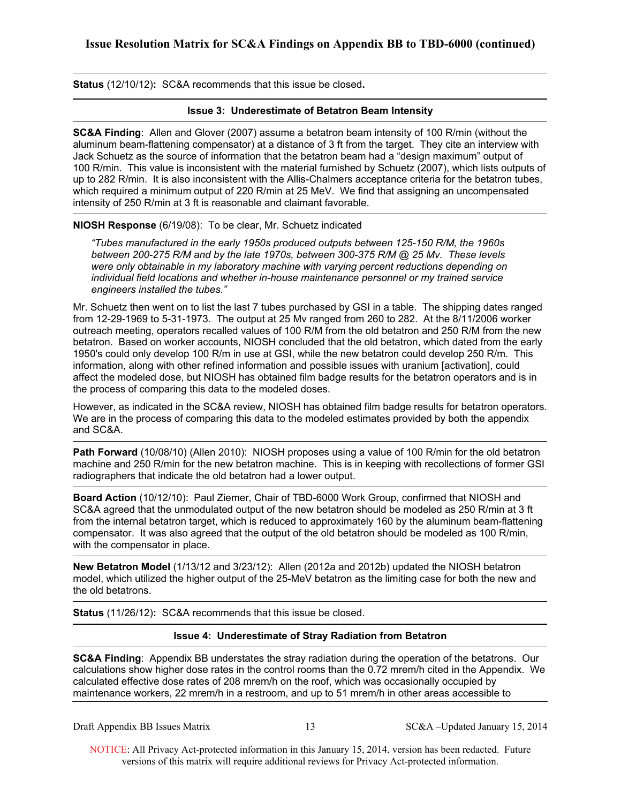**Status** (12/10/12)**:** SC&A recommends that this issue be closed**.** 

### **Issue 3: Underestimate of Betatron Beam Intensity**

**SC&A Finding**: Allen and Glover (2007) assume a betatron beam intensity of 100 R/min (without the aluminum beam-flattening compensator) at a distance of 3 ft from the target. They cite an interview with Jack Schuetz as the source of information that the betatron beam had a "design maximum" output of 100 R/min. This value is inconsistent with the material furnished by Schuetz (2007), which lists outputs of up to 282 R/min. It is also inconsistent with the Allis-Chalmers acceptance criteria for the betatron tubes, which required a minimum output of 220 R/min at 25 MeV. We find that assigning an uncompensated intensity of 250 R/min at 3 ft is reasonable and claimant favorable.

**NIOSH Response** (6/19/08): To be clear, Mr. Schuetz indicated

*"Tubes manufactured in the early 1950s produced outputs between 125-150 R/M, the 1960s between 200-275 R/M and by the late 1970s, between 300-375 R/M @ 25 Mv. These levels were only obtainable in my laboratory machine with varying percent reductions depending on individual field locations and whether in-house maintenance personnel or my trained service engineers installed the tubes."*

Mr. Schuetz then went on to list the last 7 tubes purchased by GSI in a table. The shipping dates ranged from 12-29-1969 to 5-31-1973. The output at 25 Mv ranged from 260 to 282. At the 8/11/2006 worker outreach meeting, operators recalled values of 100 R/M from the old betatron and 250 R/M from the new betatron. Based on worker accounts, NIOSH concluded that the old betatron, which dated from the early 1950's could only develop 100 R/m in use at GSI, while the new betatron could develop 250 R/m. This information, along with other refined information and possible issues with uranium [activation], could affect the modeled dose, but NIOSH has obtained film badge results for the betatron operators and is in the process of comparing this data to the modeled doses.

However, as indicated in the SC&A review, NIOSH has obtained film badge results for betatron operators. We are in the process of comparing this data to the modeled estimates provided by both the appendix and SC&A.

**Path Forward** (10/08/10) (Allen 2010): NIOSH proposes using a value of 100 R/min for the old betatron machine and 250 R/min for the new betatron machine. This is in keeping with recollections of former GSI radiographers that indicate the old betatron had a lower output.

**Board Action** (10/12/10): Paul Ziemer, Chair of TBD-6000 Work Group, confirmed that NIOSH and SC&A agreed that the unmodulated output of the new betatron should be modeled as 250 R/min at 3 ft from the internal betatron target, which is reduced to approximately 160 by the aluminum beam-flattening compensator. It was also agreed that the output of the old betatron should be modeled as 100 R/min, with the compensator in place.

**New Betatron Model** (1/13/12 and 3/23/12): Allen (2012a and 2012b) updated the NIOSH betatron model, which utilized the higher output of the 25-MeV betatron as the limiting case for both the new and the old betatrons.

**Status** (11/26/12)**:** SC&A recommends that this issue be closed.

## **Issue 4: Underestimate of Stray Radiation from Betatron**

**SC&A Finding**: Appendix BB understates the stray radiation during the operation of the betatrons. Our calculations show higher dose rates in the control rooms than the 0.72 mrem/h cited in the Appendix. We calculated effective dose rates of 208 mrem/h on the roof, which was occasionally occupied by maintenance workers, 22 mrem/h in a restroom, and up to 51 mrem/h in other areas accessible to

Draft Appendix BB Issues Matrix 13 SC&A –Updated January 15, 2014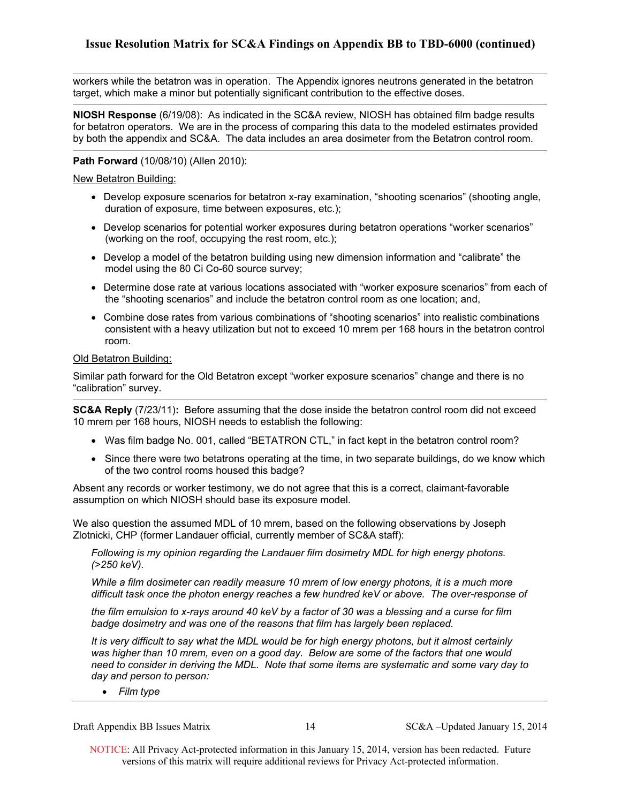workers while the betatron was in operation. The Appendix ignores neutrons generated in the betatron target, which make a minor but potentially significant contribution to the effective doses.

**NIOSH Response** (6/19/08): As indicated in the SC&A review, NIOSH has obtained film badge results for betatron operators. We are in the process of comparing this data to the modeled estimates provided by both the appendix and SC&A. The data includes an area dosimeter from the Betatron control room.

### **Path Forward** (10/08/10) (Allen 2010):

New Betatron Building:

- duration of exposure, time between exposures, etc.); Develop exposure scenarios for betatron x-ray examination, "shooting scenarios" (shooting angle,
- (working on the roof, occupying the rest room, etc.); Develop scenarios for potential worker exposures during betatron operations "worker scenarios"
- Develop a model of the betatron building using new dimension information and "calibrate" the model using the 80 Ci Co-60 source survey;
- Determine dose rate at various locations associated with "worker exposure scenarios" from each of the "shooting scenarios" and include the betatron control room as one location; and,
- room. Combine dose rates from various combinations of "shooting scenarios" into realistic combinations consistent with a heavy utilization but not to exceed 10 mrem per 168 hours in the betatron control

### Old Betatron Building:

Similar path forward for the Old Betatron except "worker exposure scenarios" change and there is no "calibration" survey.

**SC&A Reply** (7/23/11)**:** Before assuming that the dose inside the betatron control room did not exceed 10 mrem per 168 hours, NIOSH needs to establish the following:

- Was film badge No. 001, called "BETATRON CTL," in fact kept in the betatron control room?
- Since there were two betatrons operating at the time, in two separate buildings, do we know which of the two control rooms housed this badge?

Absent any records or worker testimony, we do not agree that this is a correct, claimant-favorable assumption on which NIOSH should base its exposure model.

We also question the assumed MDL of 10 mrem, based on the following observations by Joseph Zlotnicki, CHP (former Landauer official, currently member of SC&A staff):

*Following is my opinion regarding the Landauer film dosimetry MDL for high energy photons. (>250 keV).* 

*While a film dosimeter can readily measure 10 mrem of low energy photons, it is a much more difficult task once the photon energy reaches a few hundred keV or above. The over-response of* 

*the film emulsion to x-rays around 40 keV by a factor of 30 was a blessing and a curse for film badge dosimetry and was one of the reasons that film has largely been replaced.* 

*It is very difficult to say what the MDL would be for high energy photons, but it almost certainly was higher than 10 mrem, even on a good day. Below are some of the factors that one would need to consider in deriving the MDL. Note that some items are systematic and some vary day to day and person to person:* 

 *Film type* 

Draft Appendix BB Issues Matrix 14 SC&A –Updated January 15, 2014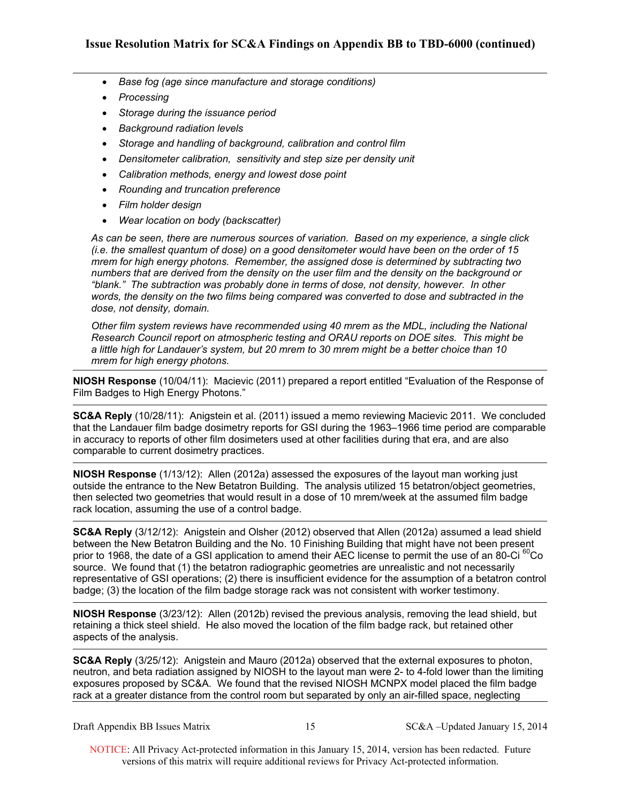- *Base fog (age since manufacture and storage conditions)*
- *Processing*
- *Storage during the issuance period*
- *Background radiation levels*
- *Storage and handling of background, calibration and control film*
- **•** Densitometer calibration, sensitivity and step size per density unit
- *Calibration methods, energy and lowest dose point*
- *Rounding and truncation preference*
- *Film holder design*
- *Wear location on body (backscatter)*

*As can be seen, there are numerous sources of variation. Based on my experience, a single click (i.e. the smallest quantum of dose) on a good densitometer would have been on the order of 15 mrem for high energy photons. Remember, the assigned dose is determined by subtracting two numbers that are derived from the density on the user film and the density on the background or "blank." The subtraction was probably done in terms of dose, not density, however. In other words, the density on the two films being compared was converted to dose and subtracted in the dose, not density, domain.* 

*Other film system reviews have recommended using 40 mrem as the MDL, including the National Research Council report on atmospheric testing and ORAU reports on DOE sites. This might be a little high for Landauer's system, but 20 mrem to 30 mrem might be a better choice than 10 mrem for high energy photons.* 

**NIOSH Response** (10/04/11): Macievic (2011) prepared a report entitled "Evaluation of the Response of Film Badges to High Energy Photons."

**SC&A Reply** (10/28/11): Anigstein et al. (2011) issued a memo reviewing Macievic 2011. We concluded that the Landauer film badge dosimetry reports for GSI during the 1963–1966 time period are comparable in accuracy to reports of other film dosimeters used at other facilities during that era, and are also comparable to current dosimetry practices.

**NIOSH Response** (1/13/12): Allen (2012a) assessed the exposures of the layout man working just outside the entrance to the New Betatron Building. The analysis utilized 15 betatron/object geometries, then selected two geometries that would result in a dose of 10 mrem/week at the assumed film badge rack location, assuming the use of a control badge.

**SC&A Reply** (3/12/12): Anigstein and Olsher (2012) observed that Allen (2012a) assumed a lead shield between the New Betatron Building and the No. 10 Finishing Building that might have not been present prior to 1968, the date of a GSI application to amend their AEC license to permit the use of an 80-Ci <sup>60</sup>Co source. We found that (1) the betatron radiographic geometries are unrealistic and not necessarily representative of GSI operations; (2) there is insufficient evidence for the assumption of a betatron control badge; (3) the location of the film badge storage rack was not consistent with worker testimony.

**NIOSH Response** (3/23/12): Allen (2012b) revised the previous analysis, removing the lead shield, but retaining a thick steel shield. He also moved the location of the film badge rack, but retained other aspects of the analysis.

**SC&A Reply** (3/25/12): Anigstein and Mauro (2012a) observed that the external exposures to photon, neutron, and beta radiation assigned by NIOSH to the layout man were 2- to 4-fold lower than the limiting exposures proposed by SC&A. We found that the revised NIOSH MCNPX model placed the film badge rack at a greater distance from the control room but separated by only an air-filled space, neglecting

| Draft Appendix BB Issues Matrix |  |  |  |
|---------------------------------|--|--|--|
|---------------------------------|--|--|--|

15 SC&A –Updated January 15, 2014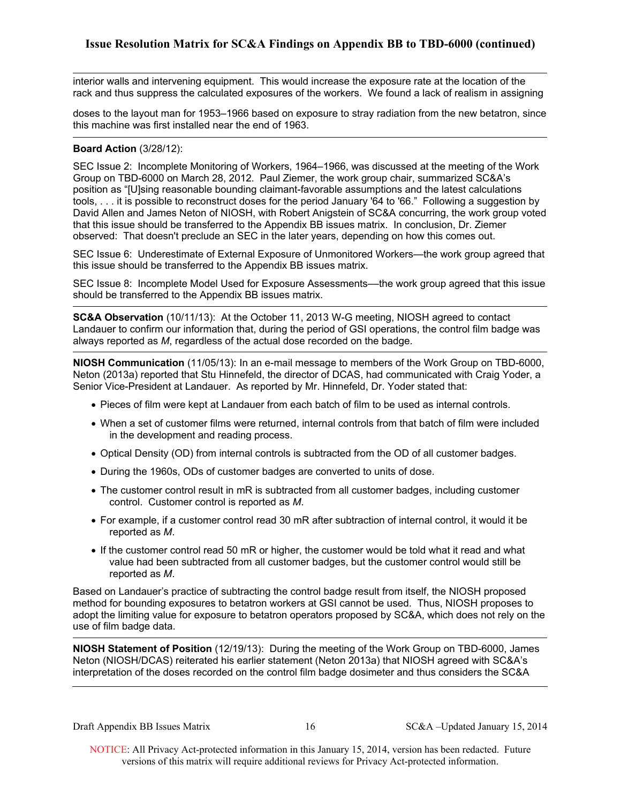interior walls and intervening equipment. This would increase the exposure rate at the location of the rack and thus suppress the calculated exposures of the workers. We found a lack of realism in assigning

doses to the layout man for 1953–1966 based on exposure to stray radiation from the new betatron, since this machine was first installed near the end of 1963.

### **Board Action** (3/28/12):

SEC Issue 2: Incomplete Monitoring of Workers, 1964–1966, was discussed at the meeting of the Work Group on TBD-6000 on March 28, 2012. Paul Ziemer, the work group chair, summarized SC&A's position as "[U]sing reasonable bounding claimant-favorable assumptions and the latest calculations tools, . . . it is possible to reconstruct doses for the period January '64 to '66." Following a suggestion by David Allen and James Neton of NIOSH, with Robert Anigstein of SC&A concurring, the work group voted that this issue should be transferred to the Appendix BB issues matrix. In conclusion, Dr. Ziemer observed: That doesn't preclude an SEC in the later years, depending on how this comes out.

SEC Issue 6: Underestimate of External Exposure of Unmonitored Workers—the work group agreed that this issue should be transferred to the Appendix BB issues matrix.

SEC Issue 8: Incomplete Model Used for Exposure Assessments––the work group agreed that this issue should be transferred to the Appendix BB issues matrix.

**SC&A Observation** (10/11/13): At the October 11, 2013 W-G meeting, NIOSH agreed to contact Landauer to confirm our information that, during the period of GSI operations, the control film badge was always reported as *M*, regardless of the actual dose recorded on the badge.

**NIOSH Communication** (11/05/13): In an e-mail message to members of the Work Group on TBD-6000, Neton (2013a) reported that Stu Hinnefeld, the director of DCAS, had communicated with Craig Yoder, a Senior Vice-President at Landauer. As reported by Mr. Hinnefeld, Dr. Yoder stated that:

- Pieces of film were kept at Landauer from each batch of film to be used as internal controls.
- When a set of customer films were returned, internal controls from that batch of film were included in the development and reading process.
- Optical Density (OD) from internal controls is subtracted from the OD of all customer badges.
- During the 1960s, ODs of customer badges are converted to units of dose.
- The customer control result in mR is subtracted from all customer badges, including customer control. Customer control is reported as *M*.
- For example, if a customer control read 30 mR after subtraction of internal control, it would it be reported as *M*.
- If the customer control read 50 mR or higher, the customer would be told what it read and what value had been subtracted from all customer badges, but the customer control would still be reported as *M*.

Based on Landauer's practice of subtracting the control badge result from itself, the NIOSH proposed method for bounding exposures to betatron workers at GSI cannot be used. Thus, NIOSH proposes to adopt the limiting value for exposure to betatron operators proposed by SC&A, which does not rely on the use of film badge data.

**NIOSH Statement of Position** (12/19/13): During the meeting of the Work Group on TBD-6000, James Neton (NIOSH/DCAS) reiterated his earlier statement (Neton 2013a) that NIOSH agreed with SC&A's interpretation of the doses recorded on the control film badge dosimeter and thus considers the SC&A

Draft Appendix BB Issues Matrix 16 SC&A –Updated January 15, 2014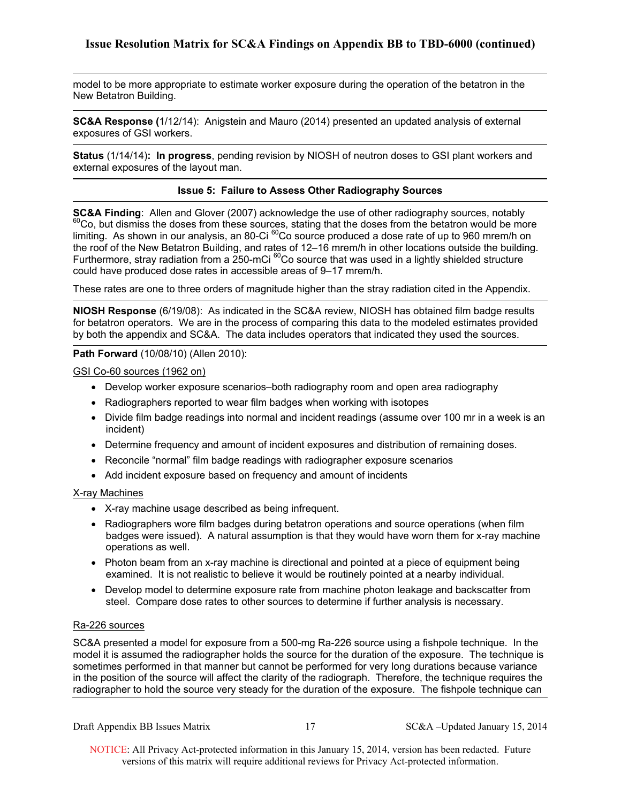model to be more appropriate to estimate worker exposure during the operation of the betatron in the New Betatron Building.

**SC&A Response (**1/12/14): Anigstein and Mauro (2014) presented an updated analysis of external exposures of GSI workers.

 **Status** (1/14/14)**: In progress**, pending revision by NIOSH of neutron doses to GSI plant workers and external exposures of the layout man.

### **Issue 5: Failure to Assess Other Radiography Sources**

**SC&A Finding**: Allen and Glover (2007) acknowledge the use of other radiography sources, notably <sup>60</sup>Co, but dismiss the doses from these sources, stating that the doses from the betatron would be more limiting. As shown in our analysis, an 80-Ci <sup>60</sup>Co source produced a dose rate of up to 960 mrem/h on the roof of the New Betatron Building, and rates of 12–16 mrem/h in other locations outside the building. Furthermore, stray radiation from a  $250$ -mCi  $^{60}$ Co source that was used in a lightly shielded structure could have produced dose rates in accessible areas of 9–17 mrem/h.

These rates are one to three orders of magnitude higher than the stray radiation cited in the Appendix.

**NIOSH Response** (6/19/08): As indicated in the SC&A review, NIOSH has obtained film badge results for betatron operators. We are in the process of comparing this data to the modeled estimates provided by both the appendix and SC&A. The data includes operators that indicated they used the sources.

### **Path Forward** (10/08/10) (Allen 2010):

GSI Co-60 sources (1962 on)

- Develop worker exposure scenarios–both radiography room and open area radiography
- Radiographers reported to wear film badges when working with isotopes
- Divide film badge readings into normal and incident readings (assume over 100 mr in a week is an incident)
- Determine frequency and amount of incident exposures and distribution of remaining doses.
- Reconcile "normal" film badge readings with radiographer exposure scenarios
- Add incident exposure based on frequency and amount of incidents

### X-ray Machines

- X-ray machine usage described as being infrequent.
- Radiographers wore film badges during betatron operations and source operations (when film badges were issued). A natural assumption is that they would have worn them for x-ray machine operations as well.
- examined. It is not realistic to believe it would be routinely pointed at a nearby individual. • Photon beam from an x-ray machine is directional and pointed at a piece of equipment being
- steel. Compare dose rates to other sources to determine if further analysis is necessary.<br>Ra-226 sources • Develop model to determine exposure rate from machine photon leakage and backscatter from

SC&A presented a model for exposure from a 500-mg Ra-226 source using a fishpole technique. In the model it is assumed the radiographer holds the source for the duration of the exposure. The technique is sometimes performed in that manner but cannot be performed for very long durations because variance in the position of the source will affect the clarity of the radiograph. Therefore, the technique requires the radiographer to hold the source very steady for the duration of the exposure. The fishpole technique can

Draft Appendix BB Issues Matrix 17 SC&A –Updated January 15, 2014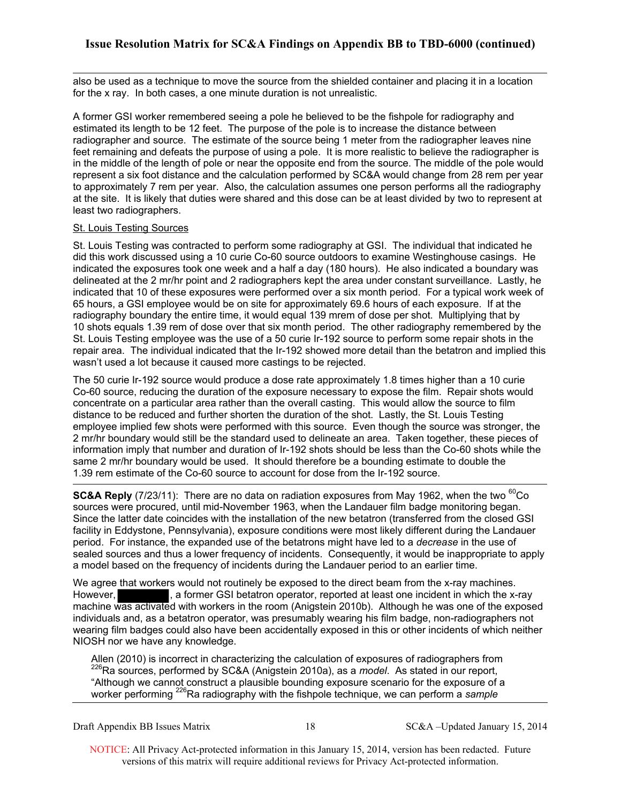also be used as a technique to move the source from the shielded container and placing it in a location for the x ray. In both cases, a one minute duration is not unrealistic.

A former GSI worker remembered seeing a pole he believed to be the fishpole for radiography and estimated its length to be 12 feet. The purpose of the pole is to increase the distance between radiographer and source. The estimate of the source being 1 meter from the radiographer leaves nine feet remaining and defeats the purpose of using a pole. It is more realistic to believe the radiographer is in the middle of the length of pole or near the opposite end from the source. The middle of the pole would represent a six foot distance and the calculation performed by SC&A would change from 28 rem per year to approximately 7 rem per year. Also, the calculation assumes one person performs all the radiography at the site. It is likely that duties were shared and this dose can be at least divided by two to represent at least two radiographers.

### St. Louis Testing Sources

St. Louis Testing was contracted to perform some radiography at GSI. The individual that indicated he did this work discussed using a 10 curie Co-60 source outdoors to examine Westinghouse casings. He indicated the exposures took one week and a half a day (180 hours). He also indicated a boundary was delineated at the 2 mr/hr point and 2 radiographers kept the area under constant surveillance. Lastly, he indicated that 10 of these exposures were performed over a six month period. For a typical work week of 65 hours, a GSI employee would be on site for approximately 69.6 hours of each exposure. If at the radiography boundary the entire time, it would equal 139 mrem of dose per shot. Multiplying that by 10 shots equals 1.39 rem of dose over that six month period. The other radiography remembered by the St. Louis Testing employee was the use of a 50 curie Ir-192 source to perform some repair shots in the repair area. The individual indicated that the Ir-192 showed more detail than the betatron and implied this wasn't used a lot because it caused more castings to be rejected.

The 50 curie Ir-192 source would produce a dose rate approximately 1.8 times higher than a 10 curie Co-60 source, reducing the duration of the exposure necessary to expose the film. Repair shots would concentrate on a particular area rather than the overall casting. This would allow the source to film distance to be reduced and further shorten the duration of the shot. Lastly, the St. Louis Testing employee implied few shots were performed with this source. Even though the source was stronger, the 2 mr/hr boundary would still be the standard used to delineate an area. Taken together, these pieces of information imply that number and duration of Ir-192 shots should be less than the Co-60 shots while the same 2 mr/hr boundary would be used. It should therefore be a bounding estimate to double the 1.39 rem estimate of the Co-60 source to account for dose from the Ir-192 source.

**SC&A Reply** (7/23/11): There are no data on radiation exposures from May 1962, when the two <sup>60</sup>Co sources were procured, until mid-November 1963, when the Landauer film badge monitoring began. Since the latter date coincides with the installation of the new betatron (transferred from the closed GSI facility in Eddystone, Pennsylvania), exposure conditions were most likely different during the Landauer period. For instance, the expanded use of the betatrons might have led to a *decrease* in the use of sealed sources and thus a lower frequency of incidents. Consequently, it would be inappropriate to apply a model based on the frequency of incidents during the Landauer period to an earlier time.

We agree that workers would not routinely be exposed to the direct beam from the x-ray machines. However, **Fig. 2018**, a former GSI betatron operator, reported at least one incident in which the x-ray machine was activated with workers in the room (Anigstein 2010b). Although he was one of the exposed individuals and, as a betatron operator, was presumably wearing his film badge, non-radiographers not wearing film badges could also have been accidentally exposed in this or other incidents of which neither NIOSH nor we have any knowledge.

Allen (2010) is incorrect in characterizing the calculation of exposures of radiographers from <sup>226</sup>Ra sources, performed by SC&A (Anigstein 2010a), as a *model*. As stated in our report, "Although we cannot construct a plausible bounding exposure scenario for the exposure of a worker performing <sup>226</sup>Ra radiography with the fishpole technique, we can perform a *sample* 

Draft Appendix BB Issues Matrix 18 SC&A –Updated January 15, 2014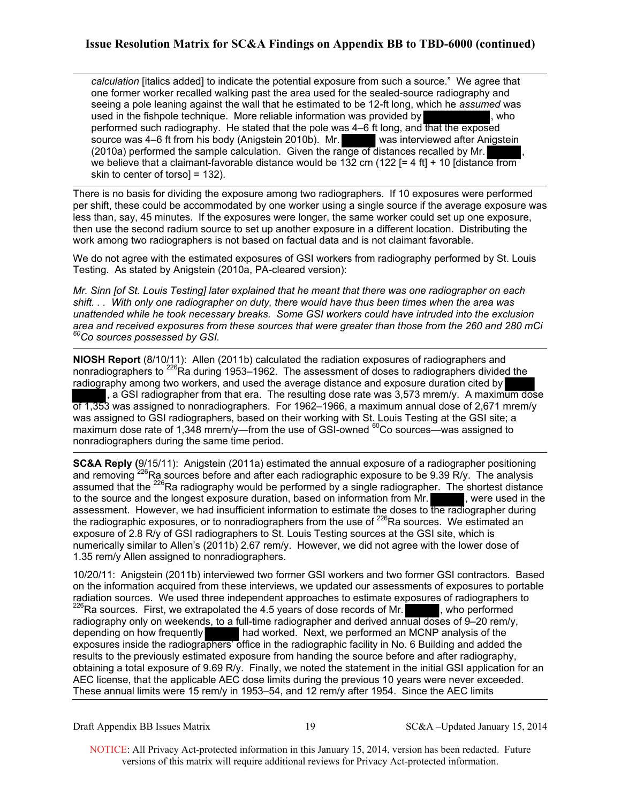*calculation* [italics added] to indicate the potential exposure from such a source." We agree that one former worker recalled walking past the area used for the sealed-source radiography and seeing a pole leaning against the wall that he estimated to be 12-ft long, which he *assumed* was used in the fishpole technique. More reliable information was provided by , who performed such radiography. He stated that the pole was 4-6 ft long, and that the exposed source was 4–6 ft from his body (Anigstein 2010b). Mr. was interviewed after Anigstein (2010a) performed the sample calculation. Given the range of distances recalled by Mr. we believe that a claimant-favorable distance would be 132 cm (122  $=$  4 ft $+$  10 [distance from skin to center of torso] = 132).

There is no basis for dividing the exposure among two radiographers. If 10 exposures were performed per shift, these could be accommodated by one worker using a single source if the average exposure was less than, say, 45 minutes. If the exposures were longer, the same worker could set up one exposure, then use the second radium source to set up another exposure in a different location. Distributing the work among two radiographers is not based on factual data and is not claimant favorable.

We do not agree with the estimated exposures of GSI workers from radiography performed by St. Louis Testing. As stated by Anigstein (2010a, PA-cleared version):

<sup>60</sup>Co sources possessed by GSI. *Mr. Sinn [of St. Louis Testing] later explained that he meant that there was one radiographer on each shift. . . With only one radiographer on duty, there would have thus been times when the area was unattended while he took necessary breaks. Some GSI workers could have intruded into the exclusion area and received exposures from these sources that were greater than those from the 260 and 280 mCi* 

**NIOSH Report** (8/10/11): Allen (2011b) calculated the radiation exposures of radiographers and nonradiographers to <sup>226</sup>Ra during 1953–1962. The assessment of doses to radiographers divided the radiography among two workers, and used the average distance and exposure duration cited by , a GSI radiographer from that era. The resulting dose rate was 3,573 mrem/y. A maximum dose of 1,353 was assigned to nonradiographers. For 1962–1966, a maximum annual dose of 2,671 mrem/y was assigned to GSI radiographers, based on their working with St. Louis Testing at the GSI site; a maximum dose rate of 1,348 mrem/y—from the use of GSI-owned  $^{60}$ Co sources—was assigned to nonradiographers during the same time period.

**SC&A Reply (**9/15/11): Anigstein (2011a) estimated the annual exposure of a radiographer positioning and removing <sup>226</sup>Ra sources before and after each radiographic exposure to be 9.39 R/y. The analysis assumed that the  $^{226}$ Ra radiography would be performed by a single radiographer. The shortest distance to the source and the longest exposure duration, based on information from Mr. assessment. However, we had insufficient information to estimate the doses to the radiographer during the radiographic exposures, or to nonradiographers from the use of  $^{226}$ Ra sources. We estimated an exposure of 2.8 R/y of GSI radiographers to St. Louis Testing sources at the GSI site, which is numerically similar to Allen's (2011b) 2.67 rem/y. However, we did not agree with the lower dose of 1.35 rem/y Allen assigned to nonradiographers.

10/20/11: Anigstein (2011b) interviewed two former GSI workers and two former GSI contractors. Based on the information acquired from these interviews, we updated our assessments of exposures to portable radiation sources. We used three independent approaches to estimate exposures of radiographers to  $^{226}$ Ra sources. First, we extrapolated the 4.5 years of dose records of Mr. radiography only on weekends, to a full-time radiographer and derived annual doses of 9–20 rem/y, depending on how frequently had worked. Next, we performed an MCNP analysis of the exposures inside the radiographers' office in the radiographic facility in No. 6 Building and added the results to the previously estimated exposure from handing the source before and after radiography, obtaining a total exposure of 9.69 R/y. Finally, we noted the statement in the initial GSI application for an AEC license, that the applicable AEC dose limits during the previous 10 years were never exceeded. These annual limits were 15 rem/y in 1953–54, and 12 rem/y after 1954. Since the AEC limits

Draft Appendix BB Issues Matrix 19 SC&A –Updated January 15, 2014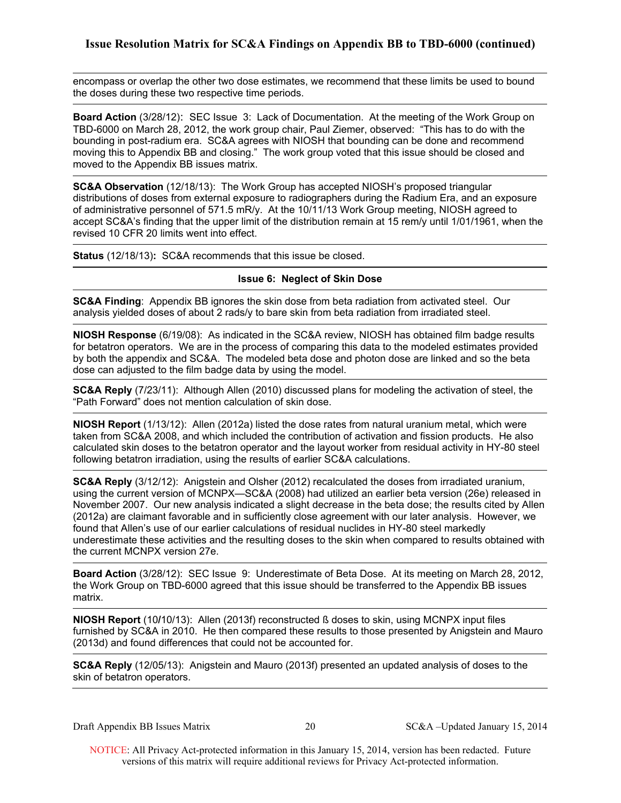encompass or overlap the other two dose estimates, we recommend that these limits be used to bound the doses during these two respective time periods.

**Board Action** (3/28/12): SEC Issue 3: Lack of Documentation. At the meeting of the Work Group on TBD-6000 on March 28, 2012, the work group chair, Paul Ziemer, observed: "This has to do with the bounding in post-radium era. SC&A agrees with NIOSH that bounding can be done and recommend moving this to Appendix BB and closing." The work group voted that this issue should be closed and moved to the Appendix BB issues matrix.

**SC&A Observation** (12/18/13): The Work Group has accepted NIOSH's proposed triangular distributions of doses from external exposure to radiographers during the Radium Era, and an exposure of administrative personnel of 571.5 mR/y. At the 10/11/13 Work Group meeting, NIOSH agreed to accept SC&A's finding that the upper limit of the distribution remain at 15 rem/y until 1/01/1961, when the revised 10 CFR 20 limits went into effect.

**Status** (12/18/13)**:** SC&A recommends that this issue be closed.

### **Issue 6: Neglect of Skin Dose**

**SC&A Finding**: Appendix BB ignores the skin dose from beta radiation from activated steel. Our analysis yielded doses of about 2 rads/y to bare skin from beta radiation from irradiated steel.

**NIOSH Response** (6/19/08): As indicated in the SC&A review, NIOSH has obtained film badge results for betatron operators. We are in the process of comparing this data to the modeled estimates provided by both the appendix and SC&A. The modeled beta dose and photon dose are linked and so the beta dose can adjusted to the film badge data by using the model.

**SC&A Reply** (7/23/11): Although Allen (2010) discussed plans for modeling the activation of steel, the "Path Forward" does not mention calculation of skin dose.

**NIOSH Report** (1/13/12): Allen (2012a) listed the dose rates from natural uranium metal, which were taken from SC&A 2008, and which included the contribution of activation and fission products. He also calculated skin doses to the betatron operator and the layout worker from residual activity in HY-80 steel following betatron irradiation, using the results of earlier SC&A calculations.

**SC&A Reply** (3/12/12): Anigstein and Olsher (2012) recalculated the doses from irradiated uranium, using the current version of MCNPX—SC&A (2008) had utilized an earlier beta version (26e) released in November 2007. Our new analysis indicated a slight decrease in the beta dose; the results cited by Allen (2012a) are claimant favorable and in sufficiently close agreement with our later analysis. However, we found that Allen's use of our earlier calculations of residual nuclides in HY-80 steel markedly underestimate these activities and the resulting doses to the skin when compared to results obtained with the current MCNPX version 27e.

**Board Action** (3/28/12): SEC Issue 9: Underestimate of Beta Dose. At its meeting on March 28, 2012, the Work Group on TBD-6000 agreed that this issue should be transferred to the Appendix BB issues matrix.

**NIOSH Report** (10**/**10/13): Allen (2013f) reconstructed ß doses to skin, using MCNPX input files furnished by SC&A in 2010. He then compared these results to those presented by Anigstein and Mauro (2013d) and found differences that could not be accounted for.

**SC&A Reply** (12/05/13): Anigstein and Mauro (2013f) presented an updated analysis of doses to the skin of betatron operators.

Draft Appendix BB Issues Matrix 20 SC&A –Updated January 15, 2014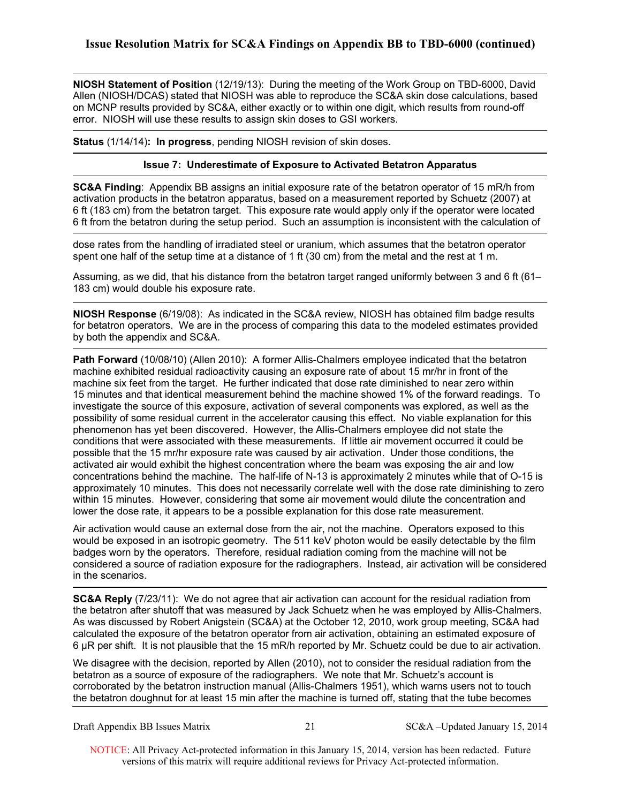**NIOSH Statement of Position** (12/19/13): During the meeting of the Work Group on TBD-6000, David Allen (NIOSH/DCAS) stated that NIOSH was able to reproduce the SC&A skin dose calculations, based on MCNP results provided by SC&A, either exactly or to within one digit, which results from round-off error. NIOSH will use these results to assign skin doses to GSI workers.

**Status** (1/14/14)**: In progress**, pending NIOSH revision of skin doses.

### **Issue 7: Underestimate of Exposure to Activated Betatron Apparatus**

**SC&A Finding**: Appendix BB assigns an initial exposure rate of the betatron operator of 15 mR/h from activation products in the betatron apparatus, based on a measurement reported by Schuetz (2007) at 6 ft (183 cm) from the betatron target. This exposure rate would apply only if the operator were located 6 ft from the betatron during the setup period. Such an assumption is inconsistent with the calculation of

dose rates from the handling of irradiated steel or uranium, which assumes that the betatron operator spent one half of the setup time at a distance of 1 ft (30 cm) from the metal and the rest at 1 m.

Assuming, as we did, that his distance from the betatron target ranged uniformly between 3 and 6 ft (61– 183 cm) would double his exposure rate.

**NIOSH Response** (6/19/08): As indicated in the SC&A review, NIOSH has obtained film badge results for betatron operators. We are in the process of comparing this data to the modeled estimates provided by both the appendix and SC&A.

**Path Forward** (10/08/10) (Allen 2010): A former Allis-Chalmers employee indicated that the betatron machine exhibited residual radioactivity causing an exposure rate of about 15 mr/hr in front of the machine six feet from the target. He further indicated that dose rate diminished to near zero within 15 minutes and that identical measurement behind the machine showed 1% of the forward readings. To investigate the source of this exposure, activation of several components was explored, as well as the possibility of some residual current in the accelerator causing this effect. No viable explanation for this phenomenon has yet been discovered. However, the Allis-Chalmers employee did not state the conditions that were associated with these measurements. If little air movement occurred it could be possible that the 15 mr/hr exposure rate was caused by air activation. Under those conditions, the activated air would exhibit the highest concentration where the beam was exposing the air and low concentrations behind the machine. The half-life of N-13 is approximately 2 minutes while that of O-15 is approximately 10 minutes. This does not necessarily correlate well with the dose rate diminishing to zero within 15 minutes. However, considering that some air movement would dilute the concentration and lower the dose rate, it appears to be a possible explanation for this dose rate measurement.

Air activation would cause an external dose from the air, not the machine. Operators exposed to this would be exposed in an isotropic geometry. The 511 keV photon would be easily detectable by the film badges worn by the operators. Therefore, residual radiation coming from the machine will not be considered a source of radiation exposure for the radiographers. Instead, air activation will be considered in the scenarios.

 the betatron after shutoff that was measured by Jack Schuetz when he was employed by Allis-Chalmers. **SC&A Reply** (7/23/11): We do not agree that air activation can account for the residual radiation from As was discussed by Robert Anigstein (SC&A) at the October 12, 2010, work group meeting, SC&A had calculated the exposure of the betatron operator from air activation, obtaining an estimated exposure of 6 µR per shift. It is not plausible that the 15 mR/h reported by Mr. Schuetz could be due to air activation.

We disagree with the decision, reported by Allen (2010), not to consider the residual radiation from the betatron as a source of exposure of the radiographers. We note that Mr. Schuetz's account is corroborated by the betatron instruction manual (Allis-Chalmers 1951), which warns users not to touch the betatron doughnut for at least 15 min after the machine is turned off, stating that the tube becomes

Draft Appendix BB Issues Matrix 21 SC&A –Updated January 15, 2014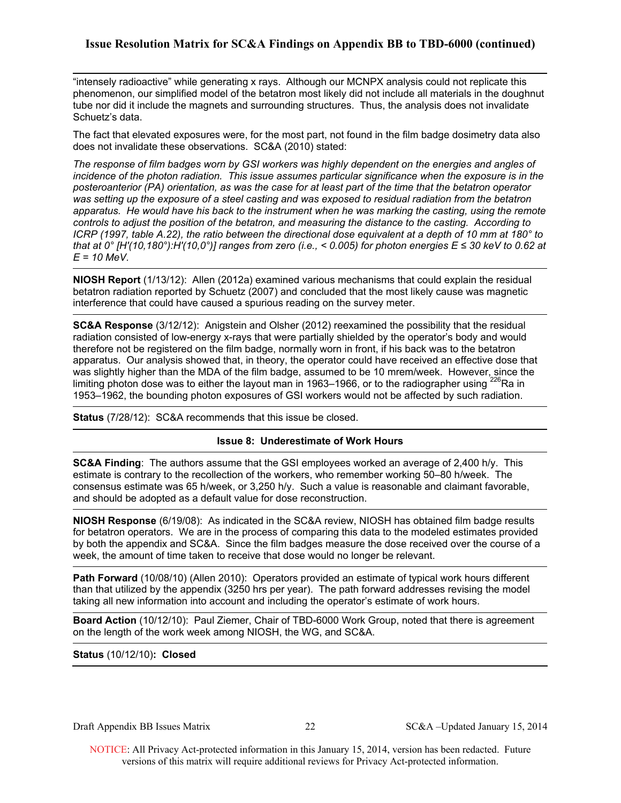"intensely radioactive" while generating x rays. Although our MCNPX analysis could not replicate this phenomenon, our simplified model of the betatron most likely did not include all materials in the doughnut tube nor did it include the magnets and surrounding structures. Thus, the analysis does not invalidate Schuetz's data.

The fact that elevated exposures were, for the most part, not found in the film badge dosimetry data also does not invalidate these observations. SC&A (2010) stated:

*The response of film badges worn by GSI workers was highly dependent on the energies and angles of incidence of the photon radiation. This issue assumes particular significance when the exposure is in the posteroanterior (PA) orientation, as was the case for at least part of the time that the betatron operator was setting up the exposure of a steel casting and was exposed to residual radiation from the betatron apparatus. He would have his back to the instrument when he was marking the casting, using the remote controls to adjust the position of the betatron, and measuring the distance to the casting. According to ICRP (1997, table A.22), the ratio between the directional dose equivalent at a depth of 10 mm at 180° to that at 0° [H'(10,180°):H'(10,0°)] ranges from zero (i.e., < 0.005) for photon energies E ≤ 30 keV to 0.62 at E = 10 MeV.* 

**NIOSH Report** (1/13/12): Allen (2012a) examined various mechanisms that could explain the residual betatron radiation reported by Schuetz (2007) and concluded that the most likely cause was magnetic interference that could have caused a spurious reading on the survey meter.

**SC&A Response** (3/12/12): Anigstein and Olsher (2012) reexamined the possibility that the residual radiation consisted of low-energy x-rays that were partially shielded by the operator's body and would therefore not be registered on the film badge, normally worn in front, if his back was to the betatron apparatus. Our analysis showed that, in theory, the operator could have received an effective dose that was slightly higher than the MDA of the film badge, assumed to be 10 mrem/week. However, since the limiting photon dose was to either the layout man in 1963–1966, or to the radiographer using  $^{226}$ Ra in 1953–1962, the bounding photon exposures of GSI workers would not be affected by such radiation.

**Status** (7/28/12): SC&A recommends that this issue be closed.

### **Issue 8: Underestimate of Work Hours**

**SC&A Finding**: The authors assume that the GSI employees worked an average of 2,400 h/y. This estimate is contrary to the recollection of the workers, who remember working 50–80 h/week. The consensus estimate was 65 h/week, or 3,250 h/y. Such a value is reasonable and claimant favorable, and should be adopted as a default value for dose reconstruction.

**NIOSH Response** (6/19/08): As indicated in the SC&A review, NIOSH has obtained film badge results for betatron operators. We are in the process of comparing this data to the modeled estimates provided by both the appendix and SC&A. Since the film badges measure the dose received over the course of a week, the amount of time taken to receive that dose would no longer be relevant.

**Path Forward** (10/08/10) (Allen 2010): Operators provided an estimate of typical work hours different than that utilized by the appendix (3250 hrs per year). The path forward addresses revising the model taking all new information into account and including the operator's estimate of work hours.

**Board Action** (10/12/10): Paul Ziemer, Chair of TBD-6000 Work Group, noted that there is agreement on the length of the work week among NIOSH, the WG, and SC&A.

### **Status** (10/12/10)**: Closed**

Draft Appendix BB Issues Matrix 22 SC&A –Updated January 15, 2014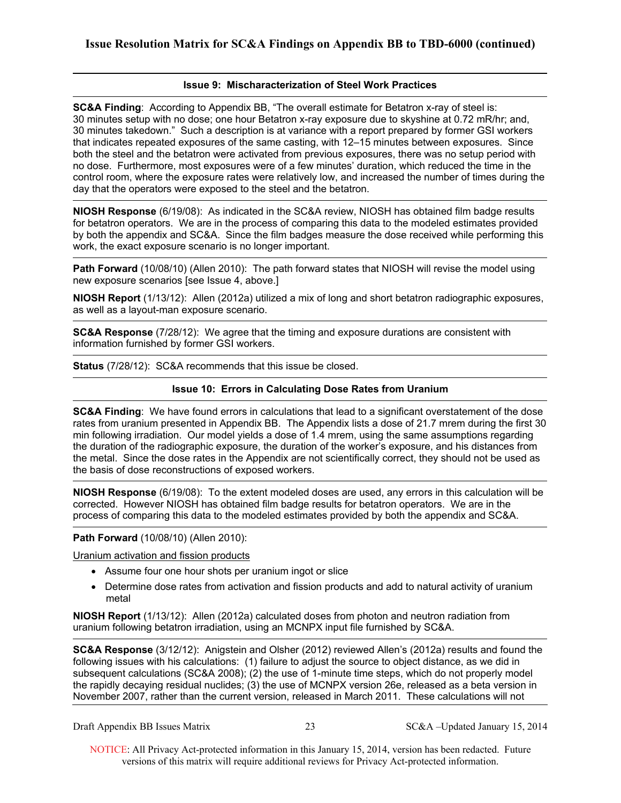### **Issue 9: Mischaracterization of Steel Work Practices**

**SC&A Finding**: According to Appendix BB, "The overall estimate for Betatron x-ray of steel is: 30 minutes setup with no dose; one hour Betatron x-ray exposure due to skyshine at 0.72 mR/hr; and, 30 minutes takedown." Such a description is at variance with a report prepared by former GSI workers that indicates repeated exposures of the same casting, with 12–15 minutes between exposures. Since both the steel and the betatron were activated from previous exposures, there was no setup period with no dose. Furthermore, most exposures were of a few minutes' duration, which reduced the time in the control room, where the exposure rates were relatively low, and increased the number of times during the day that the operators were exposed to the steel and the betatron.

**NIOSH Response** (6/19/08): As indicated in the SC&A review, NIOSH has obtained film badge results for betatron operators. We are in the process of comparing this data to the modeled estimates provided by both the appendix and SC&A. Since the film badges measure the dose received while performing this work, the exact exposure scenario is no longer important.

**Path Forward** (10/08/10) (Allen 2010): The path forward states that NIOSH will revise the model using new exposure scenarios [see Issue 4, above.]

**NIOSH Report** (1/13/12): Allen (2012a) utilized a mix of long and short betatron radiographic exposures, as well as a layout-man exposure scenario.

**SC&A Response** (7/28/12): We agree that the timing and exposure durations are consistent with information furnished by former GSI workers.

**Status** (7/28/12): SC&A recommends that this issue be closed.

### **Issue 10: Errors in Calculating Dose Rates from Uranium**

**SC&A Finding**: We have found errors in calculations that lead to a significant overstatement of the dose rates from uranium presented in Appendix BB. The Appendix lists a dose of 21.7 mrem during the first 30 min following irradiation. Our model yields a dose of 1.4 mrem, using the same assumptions regarding the duration of the radiographic exposure, the duration of the worker's exposure, and his distances from the metal. Since the dose rates in the Appendix are not scientifically correct, they should not be used as the basis of dose reconstructions of exposed workers.

**NIOSH Response** (6/19/08): To the extent modeled doses are used, any errors in this calculation will be corrected. However NIOSH has obtained film badge results for betatron operators. We are in the process of comparing this data to the modeled estimates provided by both the appendix and SC&A.

### **Path Forward** (10/08/10) (Allen 2010):

Uranium activation and fission products

- Assume four one hour shots per uranium ingot or slice
- Determine dose rates from activation and fission products and add to natural activity of uranium metal

**NIOSH Report** (1/13/12): Allen (2012a) calculated doses from photon and neutron radiation from uranium following betatron irradiation, using an MCNPX input file furnished by SC&A.

**SC&A Response** (3/12/12): Anigstein and Olsher (2012) reviewed Allen's (2012a) results and found the following issues with his calculations: (1) failure to adjust the source to object distance, as we did in subsequent calculations (SC&A 2008); (2) the use of 1-minute time steps, which do not properly model the rapidly decaying residual nuclides; (3) the use of MCNPX version 26e, released as a beta version in November 2007, rather than the current version, released in March 2011. These calculations will not

Draft Appendix BB Issues Matrix 23 SC&A –Updated January 15, 2014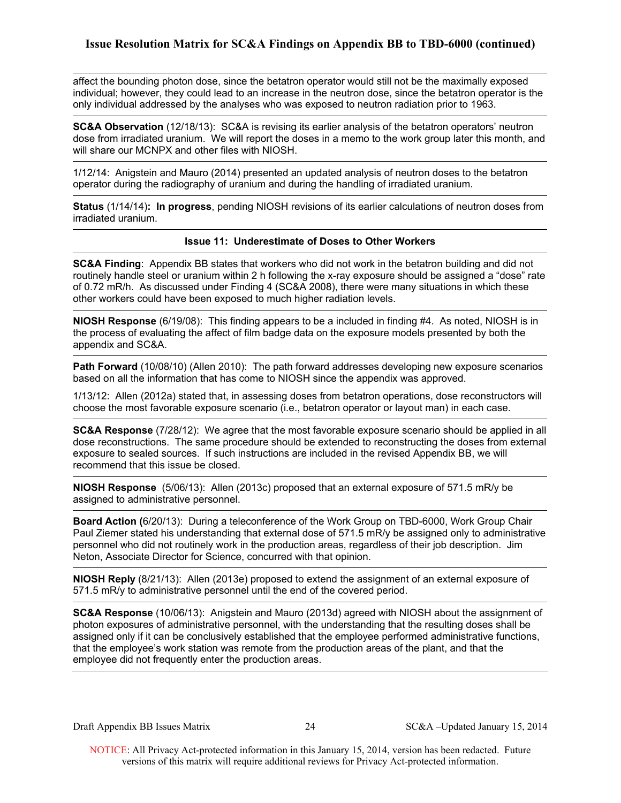affect the bounding photon dose, since the betatron operator would still not be the maximally exposed individual; however, they could lead to an increase in the neutron dose, since the betatron operator is the only individual addressed by the analyses who was exposed to neutron radiation prior to 1963.

**SC&A Observation** (12/18/13): SC&A is revising its earlier analysis of the betatron operators' neutron dose from irradiated uranium. We will report the doses in a memo to the work group later this month, and will share our MCNPX and other files with NIOSH.

1/12/14: Anigstein and Mauro (2014) presented an updated analysis of neutron doses to the betatron operator during the radiography of uranium and during the handling of irradiated uranium.

 **Status** (1/14/14)**: In progress**, pending NIOSH revisions of its earlier calculations of neutron doses from irradiated uranium.

### **Issue 11: Underestimate of Doses to Other Workers**

**SC&A Finding**: Appendix BB states that workers who did not work in the betatron building and did not routinely handle steel or uranium within 2 h following the x-ray exposure should be assigned a "dose" rate of 0.72 mR/h. As discussed under Finding 4 (SC&A 2008), there were many situations in which these other workers could have been exposed to much higher radiation levels.

**NIOSH Response** (6/19/08): This finding appears to be a included in finding #4. As noted, NIOSH is in the process of evaluating the affect of film badge data on the exposure models presented by both the appendix and SC&A.

**Path Forward** (10/08/10) (Allen 2010): The path forward addresses developing new exposure scenarios based on all the information that has come to NIOSH since the appendix was approved.

1/13/12: Allen (2012a) stated that, in assessing doses from betatron operations, dose reconstructors will choose the most favorable exposure scenario (i.e., betatron operator or layout man) in each case.

**SC&A Response** (7/28/12): We agree that the most favorable exposure scenario should be applied in all dose reconstructions. The same procedure should be extended to reconstructing the doses from external exposure to sealed sources. If such instructions are included in the revised Appendix BB, we will recommend that this issue be closed.

**NIOSH Response** (5/06/13): Allen (2013c) proposed that an external exposure of 571.5 mR/y be assigned to administrative personnel.

**Board Action (**6/20/13): During a teleconference of the Work Group on TBD-6000, Work Group Chair Paul Ziemer stated his understanding that external dose of 571.5 mR/y be assigned only to administrative personnel who did not routinely work in the production areas, regardless of their job description. Jim Neton, Associate Director for Science, concurred with that opinion.

**NIOSH Reply** (8/21/13): Allen (2013e) proposed to extend the assignment of an external exposure of 571.5 mR/y to administrative personnel until the end of the covered period.

**SC&A Response** (10/06/13): Anigstein and Mauro (2013d) agreed with NIOSH about the assignment of photon exposures of administrative personnel, with the understanding that the resulting doses shall be assigned only if it can be conclusively established that the employee performed administrative functions, that the employee's work station was remote from the production areas of the plant, and that the employee did not frequently enter the production areas.

Draft Appendix BB Issues Matrix 24 SC&A –Updated January 15, 2014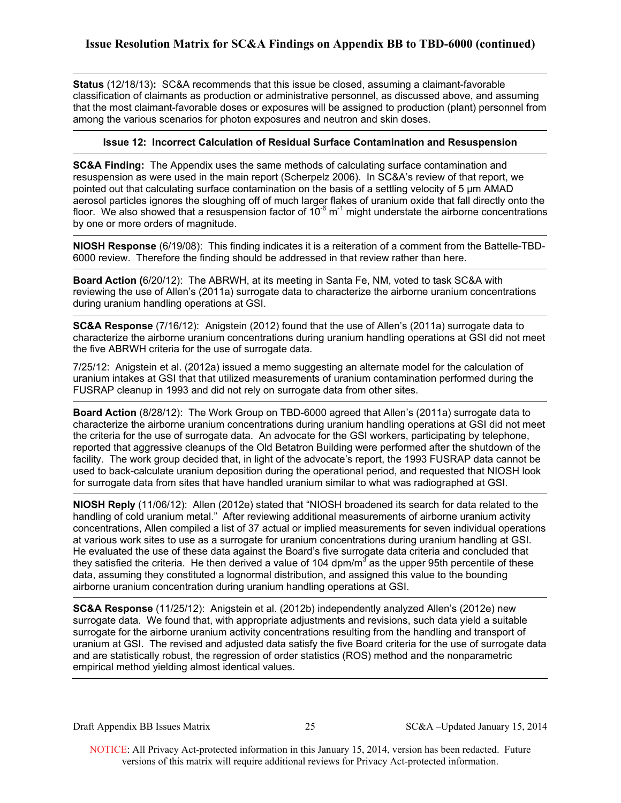**Status** (12/18/13)**:** SC&A recommends that this issue be closed, assuming a claimant-favorable classification of claimants as production or administrative personnel, as discussed above, and assuming that the most claimant-favorable doses or exposures will be assigned to production (plant) personnel from among the various scenarios for photon exposures and neutron and skin doses.

### **Issue 12: Incorrect Calculation of Residual Surface Contamination and Resuspension**

**SC&A Finding:** The Appendix uses the same methods of calculating surface contamination and resuspension as were used in the main report (Scherpelz 2006). In SC&A's review of that report, we pointed out that calculating surface contamination on the basis of a settling velocity of 5 μm AMAD aerosol particles ignores the sloughing off of much larger flakes of uranium oxide that fall directly onto the floor. We also showed that a resuspension factor of  $10^{-6}$  m<sup>-1</sup> might understate the airborne concentrations by one or more orders of magnitude.

**NIOSH Response** (6/19/08): This finding indicates it is a reiteration of a comment from the Battelle-TBD-6000 review. Therefore the finding should be addressed in that review rather than here.

**Board Action (**6/20/12): The ABRWH, at its meeting in Santa Fe, NM, voted to task SC&A with reviewing the use of Allen's (2011a) surrogate data to characterize the airborne uranium concentrations during uranium handling operations at GSI.

 **SC&A Response** (7/16/12): Anigstein (2012) found that the use of Allen's (2011a) surrogate data to characterize the airborne uranium concentrations during uranium handling operations at GSI did not meet the five ABRWH criteria for the use of surrogate data.

7/25/12: Anigstein et al. (2012a) issued a memo suggesting an alternate model for the calculation of uranium intakes at GSI that that utilized measurements of uranium contamination performed during the FUSRAP cleanup in 1993 and did not rely on surrogate data from other sites.

**Board Action** (8/28/12): The Work Group on TBD-6000 agreed that Allen's (2011a) surrogate data to characterize the airborne uranium concentrations during uranium handling operations at GSI did not meet the criteria for the use of surrogate data. An advocate for the GSI workers, participating by telephone, reported that aggressive cleanups of the Old Betatron Building were performed after the shutdown of the facility. The work group decided that, in light of the advocate's report, the 1993 FUSRAP data cannot be used to back-calculate uranium deposition during the operational period, and requested that NIOSH look for surrogate data from sites that have handled uranium similar to what was radiographed at GSI.

**NIOSH Reply** (11/06/12): Allen (2012e) stated that "NIOSH broadened its search for data related to the handling of cold uranium metal." After reviewing additional measurements of airborne uranium activity concentrations, Allen compiled a list of 37 actual or implied measurements for seven individual operations at various work sites to use as a surrogate for uranium concentrations during uranium handling at GSI. He evaluated the use of these data against the Board's five surrogate data criteria and concluded that they satisfied the criteria. He then derived a value of 104 dpm/ $m<sup>3</sup>$  as the upper 95th percentile of these data, assuming they constituted a lognormal distribution, and assigned this value to the bounding airborne uranium concentration during uranium handling operations at GSI.

**SC&A Response** (11/25/12): Anigstein et al. (2012b) independently analyzed Allen's (2012e) new surrogate data. We found that, with appropriate adjustments and revisions, such data yield a suitable surrogate for the airborne uranium activity concentrations resulting from the handling and transport of uranium at GSI. The revised and adjusted data satisfy the five Board criteria for the use of surrogate data and are statistically robust, the regression of order statistics (ROS) method and the nonparametric empirical method yielding almost identical values.

Draft Appendix BB Issues Matrix 25 SC&A –Updated January 15, 2014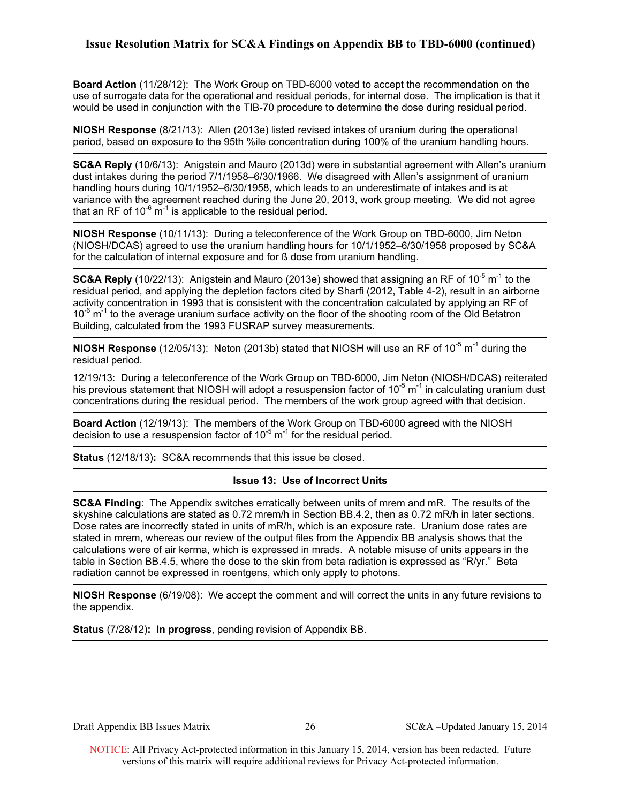**Board Action** (11/28/12): The Work Group on TBD-6000 voted to accept the recommendation on the use of surrogate data for the operational and residual periods, for internal dose. The implication is that it would be used in conjunction with the TIB-70 procedure to determine the dose during residual period.

**NIOSH Response** (8/21/13): Allen (2013e) listed revised intakes of uranium during the operational period, based on exposure to the 95th %ile concentration during 100% of the uranium handling hours.

**SC&A Reply** (10/6/13): Anigstein and Mauro (2013d) were in substantial agreement with Allen's uranium dust intakes during the period 7/1/1958–6/30/1966. We disagreed with Allen's assignment of uranium handling hours during 10/1/1952–6/30/1958, which leads to an underestimate of intakes and is at variance with the agreement reached during the June 20, 2013, work group meeting. We did not agree that an RF of  $10^{-6}$  m<sup>-1</sup> is applicable to the residual period.

**NIOSH Response** (10/11/13): During a teleconference of the Work Group on TBD-6000, Jim Neton (NIOSH/DCAS) agreed to use the uranium handling hours for 10/1/1952–6/30/1958 proposed by SC&A for the calculation of internal exposure and for ß dose from uranium handling.

**SC&A Reply** (10/22/13): Anigstein and Mauro (2013e) showed that assigning an RF of 10<sup>-5</sup> m<sup>-1</sup> to the residual period, and applying the depletion factors cited by Sharfi (2012, Table 4-2), result in an airborne activity concentration in 1993 that is consistent with the concentration calculated by applying an RF of  $10^{-6}$  m<sup>-1</sup> to the average uranium surface activity on the floor of the shooting room of the Old Betatron Building, calculated from the 1993 FUSRAP survey measurements.

**NIOSH Response** (12/05/13): Neton (2013b) stated that NIOSH will use an RF of 10<sup>-5</sup> m<sup>-1</sup> during the residual period.

12/19/13: During a teleconference of the Work Group on TBD-6000, Jim Neton (NIOSH/DCAS) reiterated his previous statement that NIOSH will adopt a resuspension factor of  $10^{-5}$  m<sup>-1</sup> in calculating uranium dust concentrations during the residual period. The members of the work group agreed with that decision.

**Board Action** (12/19/13): The members of the Work Group on TBD-6000 agreed with the NIOSH decision to use a resuspension factor of  $10^{-5}$  m<sup>-1</sup> for the residual period.

**Status** (12/18/13)**:** SC&A recommends that this issue be closed.

### **Issue 13: Use of Incorrect Units**

**SC&A Finding**: The Appendix switches erratically between units of mrem and mR. The results of the skyshine calculations are stated as 0.72 mrem/h in Section BB.4.2, then as 0.72 mR/h in later sections. Dose rates are incorrectly stated in units of mR/h, which is an exposure rate. Uranium dose rates are stated in mrem, whereas our review of the output files from the Appendix BB analysis shows that the calculations were of air kerma, which is expressed in mrads. A notable misuse of units appears in the table in Section BB.4.5, where the dose to the skin from beta radiation is expressed as "R/yr." Beta radiation cannot be expressed in roentgens, which only apply to photons.

**NIOSH Response** (6/19/08): We accept the comment and will correct the units in any future revisions to the appendix.

**Status** (7/28/12)**: In progress**, pending revision of Appendix BB.

Draft Appendix BB Issues Matrix 26 SC&A –Updated January 15, 2014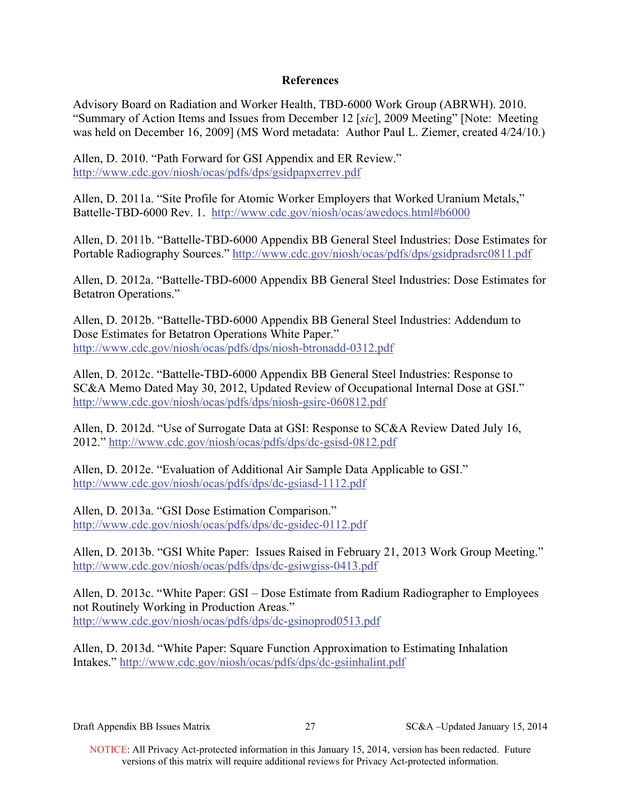# **References**

Advisory Board on Radiation and Worker Health, TBD-6000 Work Group (ABRWH). 2010. "Summary of Action Items and Issues from December 12 [*sic*], 2009 Meeting" [Note: Meeting was held on December 16, 2009] (MS Word metadata: Author Paul L. Ziemer, created 4/24/10.)

Allen, D. 2010. "Path Forward for GSI Appendix and ER Review." http://www.cdc.gov/niosh/ocas/pdfs/dps/gsidpapxerrev.pdf

Allen, D. 2011a. "Site Profile for Atomic Worker Employers that Worked Uranium Metals," Battelle-TBD-6000 Rev. 1. http://www.cdc.gov/niosh/ocas/awedocs.html#b6000

Allen, D. 2011b. "Battelle-TBD-6000 Appendix BB General Steel Industries: Dose Estimates for Portable Radiography Sources." http://www.cdc.gov/niosh/ocas/pdfs/dps/gsidpradsrc0811.pdf

Allen, D. 2012a. "Battelle-TBD-6000 Appendix BB General Steel Industries: Dose Estimates for Betatron Operations."

Allen, D. 2012b. "Battelle-TBD-6000 Appendix BB General Steel Industries: Addendum to Dose Estimates for Betatron Operations White Paper." http://www.cdc.gov/niosh/ocas/pdfs/dps/niosh-btronadd-0312.pdf

Allen, D. 2012c. "Battelle-TBD-6000 Appendix BB General Steel Industries: Response to SC&A Memo Dated May 30, 2012, Updated Review of Occupational Internal Dose at GSI." http://www.cdc.gov/niosh/ocas/pdfs/dps/niosh-gsirc-060812.pdf

Allen, D. 2012d. "Use of Surrogate Data at GSI: Response to SC&A Review Dated July 16, 2012." http://www.cdc.gov/niosh/ocas/pdfs/dps/dc-gsisd-0812.pdf

Allen, D. 2012e. "Evaluation of Additional Air Sample Data Applicable to GSI." http://www.cdc.gov/niosh/ocas/pdfs/dps/dc-gsiasd-1112.pdf

Allen, D. 2013a. "GSI Dose Estimation Comparison." http://www.cdc.gov/niosh/ocas/pdfs/dps/dc-gsidec-0112.pdf

Allen, D. 2013b. "GSI White Paper: Issues Raised in February 21, 2013 Work Group Meeting." http://www.cdc.gov/niosh/ocas/pdfs/dps/dc-gsiwgiss-0413.pdf

Allen, D. 2013c. "White Paper: GSI – Dose Estimate from Radium Radiographer to Employees not Routinely Working in Production Areas." http://www.cdc.gov/niosh/ocas/pdfs/dps/dc-gsinoprod0513.pdf

Allen, D. 2013d. "White Paper: Square Function Approximation to Estimating Inhalation Intakes." http://www.cdc.gov/niosh/ocas/pdfs/dps/dc-gsiinhalint.pdf

Draft Appendix BB Issues Matrix 27 SC&A –Updated January 15, 2014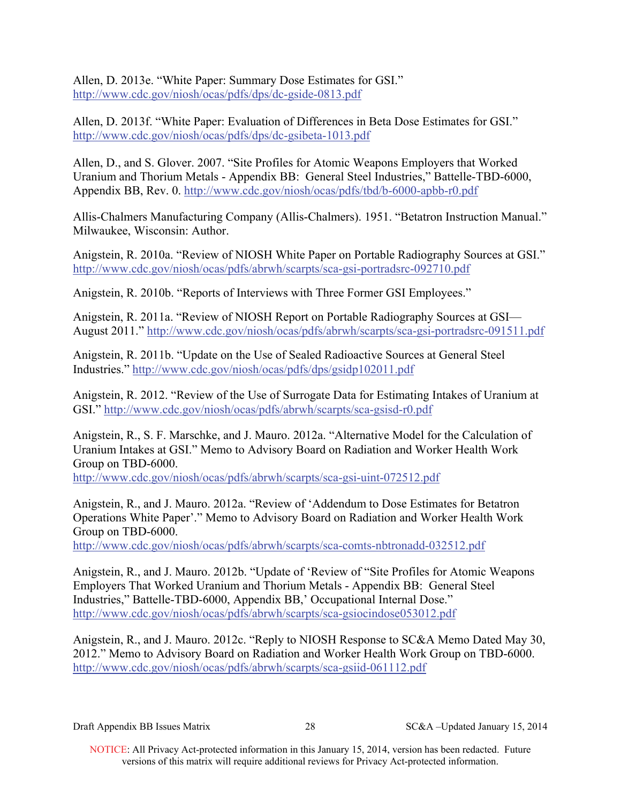Allen, D. 2013e. "White Paper: Summary Dose Estimates for GSI." http://www.cdc.gov/niosh/ocas/pdfs/dps/dc-gside-0813.pdf

Allen, D. 2013f. "White Paper: Evaluation of Differences in Beta Dose Estimates for GSI." http://www.cdc.gov/niosh/ocas/pdfs/dps/dc-gsibeta-1013.pdf

Allen, D., and S. Glover. 2007. "Site Profiles for Atomic Weapons Employers that Worked Uranium and Thorium Metals - Appendix BB: General Steel Industries," Battelle-TBD-6000, Appendix BB, Rev. 0. http://www.cdc.gov/niosh/ocas/pdfs/tbd/b-6000-apbb-r0.pdf

Allis-Chalmers Manufacturing Company (Allis-Chalmers). 1951. "Betatron Instruction Manual." Milwaukee, Wisconsin: Author.

Anigstein, R. 2010a. "Review of NIOSH White Paper on Portable Radiography Sources at GSI." http://www.cdc.gov/niosh/ocas/pdfs/abrwh/scarpts/sca-gsi-portradsrc-092710.pdf

Anigstein, R. 2010b. "Reports of Interviews with Three Former GSI Employees."

Anigstein, R. 2011a. "Review of NIOSH Report on Portable Radiography Sources at GSI— August 2011." http://www.cdc.gov/niosh/ocas/pdfs/abrwh/scarpts/sca-gsi-portradsrc-091511.pdf

Anigstein, R. 2011b. "Update on the Use of Sealed Radioactive Sources at General Steel Industries." http://www.cdc.gov/niosh/ocas/pdfs/dps/gsidp102011.pdf

Anigstein, R. 2012. "Review of the Use of Surrogate Data for Estimating Intakes of Uranium at GSI." http://www.cdc.gov/niosh/ocas/pdfs/abrwh/scarpts/sca-gsisd-r0.pdf

Anigstein, R., S. F. Marschke, and J. Mauro. 2012a. "Alternative Model for the Calculation of Uranium Intakes at GSI." Memo to Advisory Board on Radiation and Worker Health Work Group on TBD-6000.

http://www.cdc.gov/niosh/ocas/pdfs/abrwh/scarpts/sca-gsi-uint-072512.pdf

Anigstein, R., and J. Mauro. 2012a. "Review of 'Addendum to Dose Estimates for Betatron Operations White Paper'." Memo to Advisory Board on Radiation and Worker Health Work Group on TBD-6000.

http://www.cdc.gov/niosh/ocas/pdfs/abrwh/scarpts/sca-comts-nbtronadd-032512.pdf

Anigstein, R., and J. Mauro. 2012b. "Update of 'Review of "Site Profiles for Atomic Weapons Employers That Worked Uranium and Thorium Metals - Appendix BB: General Steel Industries," Battelle-TBD-6000, Appendix BB,' Occupational Internal Dose." http://www.cdc.gov/niosh/ocas/pdfs/abrwh/scarpts/sca-gsiocindose053012.pdf

Anigstein, R., and J. Mauro. 2012c. "Reply to NIOSH Response to SC&A Memo Dated May 30, 2012." Memo to Advisory Board on Radiation and Worker Health Work Group on TBD-6000. http://www.cdc.gov/niosh/ocas/pdfs/abrwh/scarpts/sca-gsiid-061112.pdf

 NOTICE: All Privacy Act-protected information in this January 15, 2014, version has been redacted. Future versions of this matrix will require additional reviews for Privacy Act-protected information.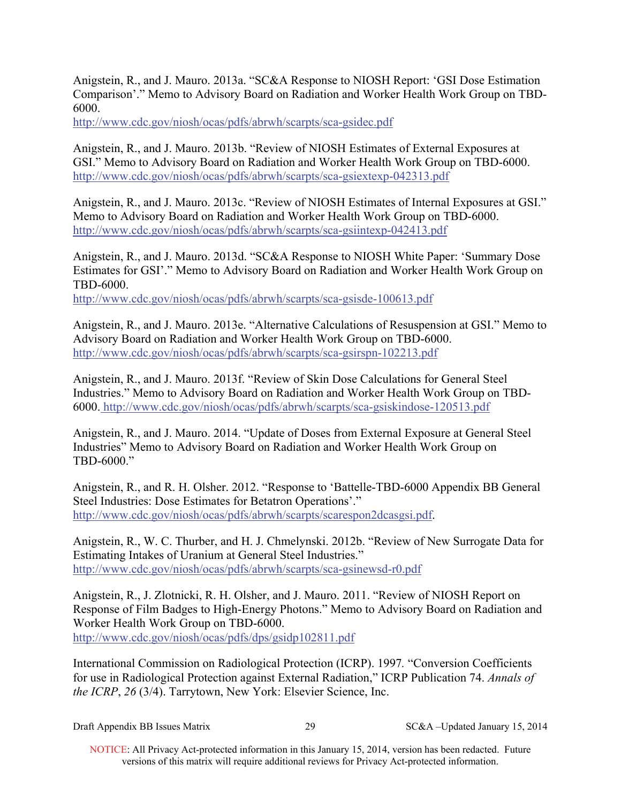Anigstein, R., and J. Mauro. 2013a. "SC&A Response to NIOSH Report: 'GSI Dose Estimation Comparison'." Memo to Advisory Board on Radiation and Worker Health Work Group on TBD-6000.

http://www.cdc.gov/niosh/ocas/pdfs/abrwh/scarpts/sca-gsidec.pdf

Anigstein, R., and J. Mauro. 2013b. "Review of NIOSH Estimates of External Exposures at GSI." Memo to Advisory Board on Radiation and Worker Health Work Group on TBD-6000. http://www.cdc.gov/niosh/ocas/pdfs/abrwh/scarpts/sca-gsiextexp-042313.pdf

Anigstein, R., and J. Mauro. 2013c. "Review of NIOSH Estimates of Internal Exposures at GSI." Memo to Advisory Board on Radiation and Worker Health Work Group on TBD-6000. http://www.cdc.gov/niosh/ocas/pdfs/abrwh/scarpts/sca-gsiintexp-042413.pdf

Anigstein, R., and J. Mauro. 2013d. "SC&A Response to NIOSH White Paper: 'Summary Dose Estimates for GSI'." Memo to Advisory Board on Radiation and Worker Health Work Group on TBD-6000.

http://www.cdc.gov/niosh/ocas/pdfs/abrwh/scarpts/sca-gsisde-100613.pdf

Anigstein, R., and J. Mauro. 2013e. "Alternative Calculations of Resuspension at GSI." Memo to Advisory Board on Radiation and Worker Health Work Group on TBD-6000. http://www.cdc.gov/niosh/ocas/pdfs/abrwh/scarpts/sca-gsirspn-102213.pdf

Anigstein, R., and J. Mauro. 2013f. "Review of Skin Dose Calculations for General Steel Industries." Memo to Advisory Board on Radiation and Worker Health Work Group on TBD-6000. http://www.cdc.gov/niosh/ocas/pdfs/abrwh/scarpts/sca-gsiskindose-120513.pdf

Anigstein, R., and J. Mauro. 2014. "Update of Doses from External Exposure at General Steel Industries" Memo to Advisory Board on Radiation and Worker Health Work Group on TBD-6000."

Anigstein, R., and R. H. Olsher. 2012. "Response to 'Battelle-TBD-6000 Appendix BB General Steel Industries: Dose Estimates for Betatron Operations'." http://www.cdc.gov/niosh/ocas/pdfs/abrwh/scarpts/scarespon2dcasgsi.pdf.

Anigstein, R., W. C. Thurber, and H. J. Chmelynski. 2012b. "Review of New Surrogate Data for Estimating Intakes of Uranium at General Steel Industries." http://www.cdc.gov/niosh/ocas/pdfs/abrwh/scarpts/sca-gsinewsd-r0.pdf

Anigstein, R., J. Zlotnicki, R. H. Olsher, and J. Mauro. 2011. "Review of NIOSH Report on Response of Film Badges to High-Energy Photons." Memo to Advisory Board on Radiation and Worker Health Work Group on TBD-6000. http://www.cdc.gov/niosh/ocas/pdfs/dps/gsidp102811.pdf

International Commission on Radiological Protection (ICRP). 1997*.* "Conversion Coefficients for use in Radiological Protection against External Radiation," ICRP Publication 74. *Annals of the ICRP*, *26* (3/4). Tarrytown, New York: Elsevier Science, Inc.

 $SC&A$  –Updated January 15, 2014